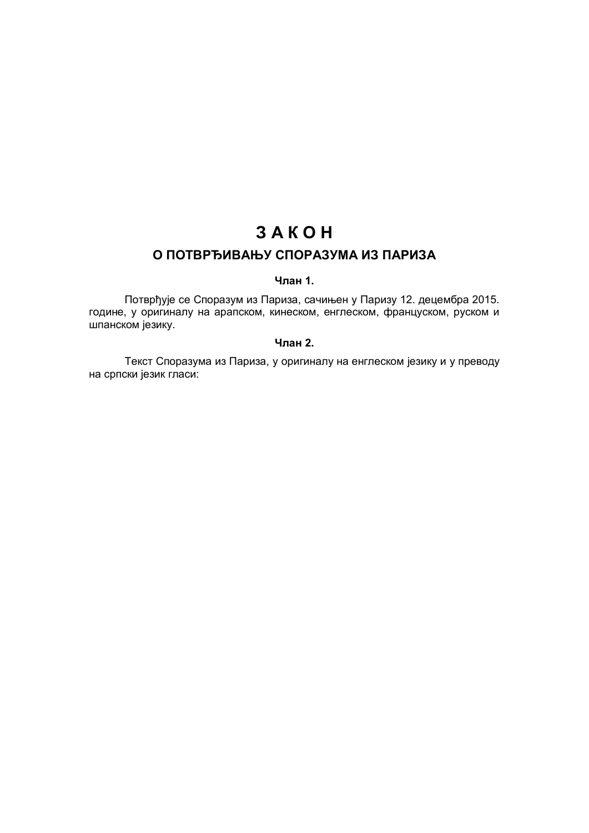# **З А К О Н О ПОТВРЂИВАЊУ СПОРАЗУМА ИЗ ПАРИЗА**

## **Члан 1.**

Потврђује се Споразум из Париза, сачињен у Паризу 12. децембра 2015. године, у оригиналу на арапском, кинеском, енглеском, француском, руском и шпанском језику.

## **Члан 2.**

Текст Споразума из Париза, у оригиналу на енглеском језику и у преводу на српски језик гласи: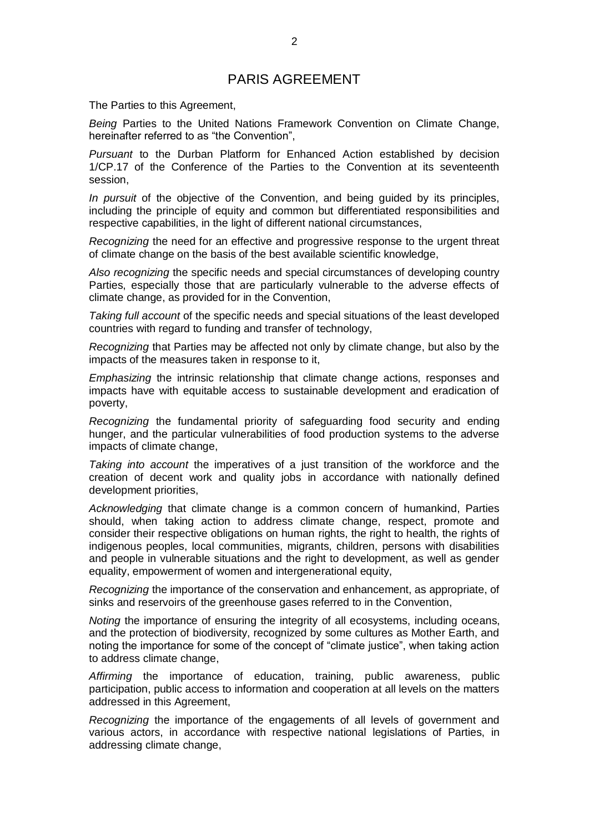# PARIS AGREEMENT

The Parties to this Agreement,

*Being* Parties to the United Nations Framework Convention on Climate Change, hereinafter referred to as "the Convention",

*Pursuant* to the Durban Platform for Enhanced Action established by decision 1/CP.17 of the Conference of the Parties to the Convention at its seventeenth session,

*In pursuit* of the objective of the Convention, and being guided by its principles, including the principle of equity and common but differentiated responsibilities and respective capabilities, in the light of different national circumstances,

*Recognizing* the need for an effective and progressive response to the urgent threat of climate change on the basis of the best available scientific knowledge,

*Also recognizing* the specific needs and special circumstances of developing country Parties, especially those that are particularly vulnerable to the adverse effects of climate change, as provided for in the Convention,

*Taking full account* of the specific needs and special situations of the least developed countries with regard to funding and transfer of technology,

*Recognizing* that Parties may be affected not only by climate change, but also by the impacts of the measures taken in response to it,

*Emphasizing* the intrinsic relationship that climate change actions, responses and impacts have with equitable access to sustainable development and eradication of poverty,

*Recognizing* the fundamental priority of safeguarding food security and ending hunger, and the particular vulnerabilities of food production systems to the adverse impacts of climate change,

*Taking into account* the imperatives of a just transition of the workforce and the creation of decent work and quality jobs in accordance with nationally defined development priorities,

*Acknowledging* that climate change is a common concern of humankind, Parties should, when taking action to address climate change, respect, promote and consider their respective obligations on human rights, the right to health, the rights of indigenous peoples, local communities, migrants, children, persons with disabilities and people in vulnerable situations and the right to development, as well as gender equality, empowerment of women and intergenerational equity,

*Recognizing* the importance of the conservation and enhancement, as appropriate, of sinks and reservoirs of the greenhouse gases referred to in the Convention,

*Noting* the importance of ensuring the integrity of all ecosystems, including oceans, and the protection of biodiversity, recognized by some cultures as Mother Earth, and noting the importance for some of the concept of "climate justice", when taking action to address climate change,

*Affirming* the importance of education, training, public awareness, public participation, public access to information and cooperation at all levels on the matters addressed in this Agreement,

*Recognizing* the importance of the engagements of all levels of government and various actors, in accordance with respective national legislations of Parties, in addressing climate change,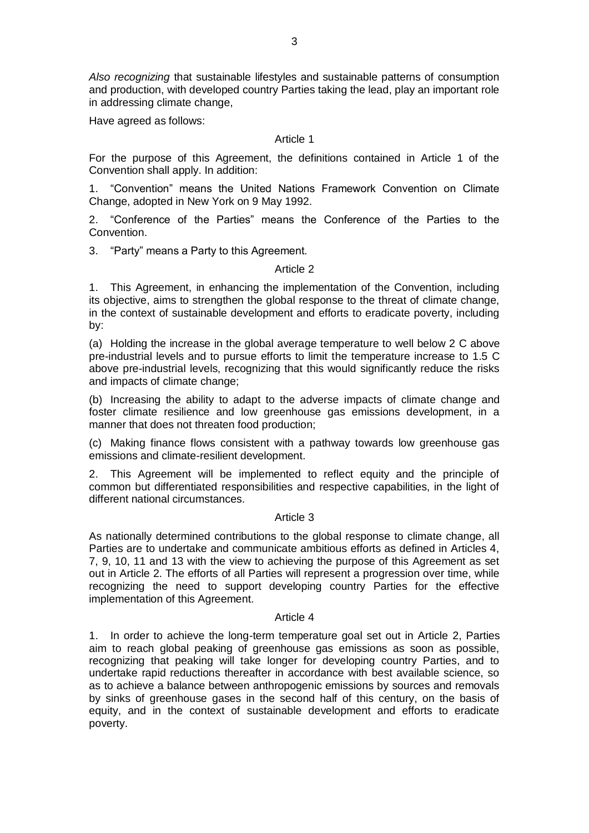*Also recognizing* that sustainable lifestyles and sustainable patterns of consumption and production, with developed country Parties taking the lead, play an important role in addressing climate change,

Have agreed as follows:

## Article 1

For the purpose of this Agreement, the definitions contained in Article 1 of the Convention shall apply. In addition:

1. "Convention" means the United Nations Framework Convention on Climate Change, adopted in New York on 9 May 1992.

2. "Conference of the Parties" means the Conference of the Parties to the Convention.

3. "Party" means a Party to this Agreement.

## Article 2

1. This Agreement, in enhancing the implementation of the Convention, including its objective, aims to strengthen the global response to the threat of climate change, in the context of sustainable development and efforts to eradicate poverty, including by:

(a) Holding the increase in the global average temperature to well below 2 C above pre-industrial levels and to pursue efforts to limit the temperature increase to 1.5 C above pre-industrial levels, recognizing that this would significantly reduce the risks and impacts of climate change;

(b) Increasing the ability to adapt to the adverse impacts of climate change and foster climate resilience and low greenhouse gas emissions development, in a manner that does not threaten food production;

(c) Making finance flows consistent with a pathway towards low greenhouse gas emissions and climate-resilient development.

2. This Agreement will be implemented to reflect equity and the principle of common but differentiated responsibilities and respective capabilities, in the light of different national circumstances.

## Article 3

As nationally determined contributions to the global response to climate change, all Parties are to undertake and communicate ambitious efforts as defined in Articles 4, 7, 9, 10, 11 and 13 with the view to achieving the purpose of this Agreement as set out in Article 2. The efforts of all Parties will represent a progression over time, while recognizing the need to support developing country Parties for the effective implementation of this Agreement.

## Article 4

1. In order to achieve the long-term temperature goal set out in Article 2, Parties aim to reach global peaking of greenhouse gas emissions as soon as possible, recognizing that peaking will take longer for developing country Parties, and to undertake rapid reductions thereafter in accordance with best available science, so as to achieve a balance between anthropogenic emissions by sources and removals by sinks of greenhouse gases in the second half of this century, on the basis of equity, and in the context of sustainable development and efforts to eradicate poverty.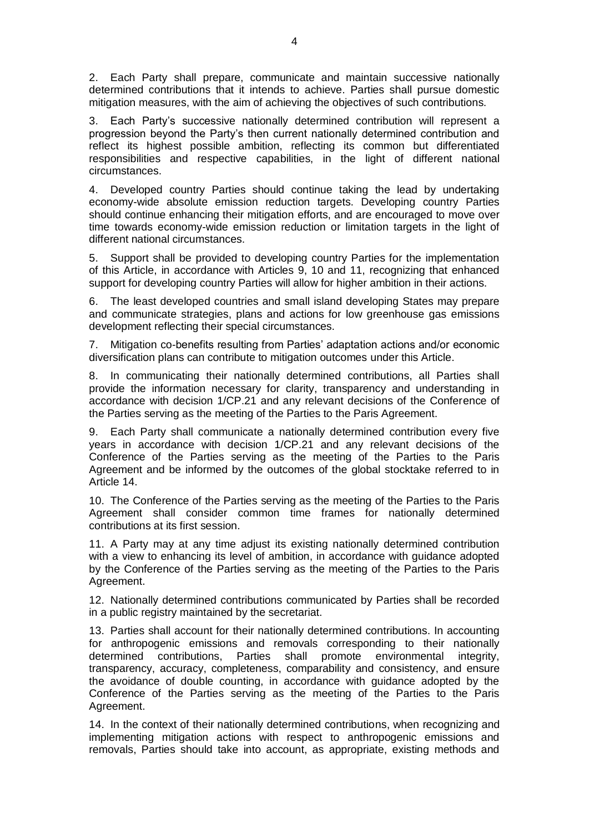2. Each Party shall prepare, communicate and maintain successive nationally determined contributions that it intends to achieve. Parties shall pursue domestic mitigation measures, with the aim of achieving the objectives of such contributions.

3. Each Party's successive nationally determined contribution will represent a progression beyond the Party's then current nationally determined contribution and reflect its highest possible ambition, reflecting its common but differentiated responsibilities and respective capabilities, in the light of different national circumstances.

4. Developed country Parties should continue taking the lead by undertaking economy-wide absolute emission reduction targets. Developing country Parties should continue enhancing their mitigation efforts, and are encouraged to move over time towards economy-wide emission reduction or limitation targets in the light of different national circumstances.

5. Support shall be provided to developing country Parties for the implementation of this Article, in accordance with Articles 9, 10 and 11, recognizing that enhanced support for developing country Parties will allow for higher ambition in their actions.

6. The least developed countries and small island developing States may prepare and communicate strategies, plans and actions for low greenhouse gas emissions development reflecting their special circumstances.

7. Mitigation co-benefits resulting from Parties' adaptation actions and/or economic diversification plans can contribute to mitigation outcomes under this Article.

8. In communicating their nationally determined contributions, all Parties shall provide the information necessary for clarity, transparency and understanding in accordance with decision 1/CP.21 and any relevant decisions of the Conference of the Parties serving as the meeting of the Parties to the Paris Agreement.

9. Each Party shall communicate a nationally determined contribution every five years in accordance with decision 1/CP.21 and any relevant decisions of the Conference of the Parties serving as the meeting of the Parties to the Paris Agreement and be informed by the outcomes of the global stocktake referred to in Article 14.

10. The Conference of the Parties serving as the meeting of the Parties to the Paris Agreement shall consider common time frames for nationally determined contributions at its first session.

11. A Party may at any time adjust its existing nationally determined contribution with a view to enhancing its level of ambition, in accordance with guidance adopted by the Conference of the Parties serving as the meeting of the Parties to the Paris Agreement.

12. Nationally determined contributions communicated by Parties shall be recorded in a public registry maintained by the secretariat.

13. Parties shall account for their nationally determined contributions. In accounting for anthropogenic emissions and removals corresponding to their nationally determined contributions, Parties shall promote environmental integrity, transparency, accuracy, completeness, comparability and consistency, and ensure the avoidance of double counting, in accordance with guidance adopted by the Conference of the Parties serving as the meeting of the Parties to the Paris Agreement.

14. In the context of their nationally determined contributions, when recognizing and implementing mitigation actions with respect to anthropogenic emissions and removals, Parties should take into account, as appropriate, existing methods and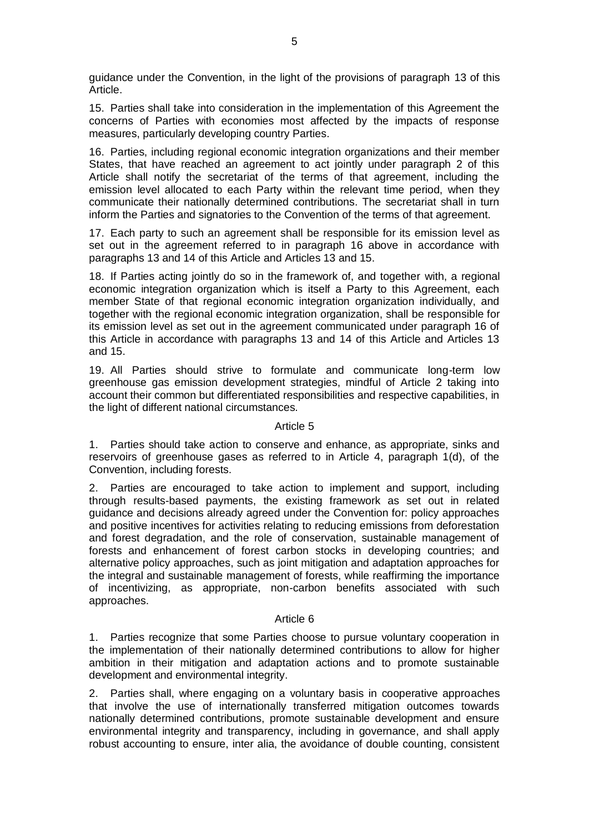guidance under the Convention, in the light of the provisions of paragraph 13 of this Article.

15. Parties shall take into consideration in the implementation of this Agreement the concerns of Parties with economies most affected by the impacts of response measures, particularly developing country Parties.

16. Parties, including regional economic integration organizations and their member States, that have reached an agreement to act jointly under paragraph 2 of this Article shall notify the secretariat of the terms of that agreement, including the emission level allocated to each Party within the relevant time period, when they communicate their nationally determined contributions. The secretariat shall in turn inform the Parties and signatories to the Convention of the terms of that agreement.

17. Each party to such an agreement shall be responsible for its emission level as set out in the agreement referred to in paragraph 16 above in accordance with paragraphs 13 and 14 of this Article and Articles 13 and 15.

18. If Parties acting jointly do so in the framework of, and together with, a regional economic integration organization which is itself a Party to this Agreement, each member State of that regional economic integration organization individually, and together with the regional economic integration organization, shall be responsible for its emission level as set out in the agreement communicated under paragraph 16 of this Article in accordance with paragraphs 13 and 14 of this Article and Articles 13 and 15.

19. All Parties should strive to formulate and communicate long-term low greenhouse gas emission development strategies, mindful of Article 2 taking into account their common but differentiated responsibilities and respective capabilities, in the light of different national circumstances.

## Article 5

1. Parties should take action to conserve and enhance, as appropriate, sinks and reservoirs of greenhouse gases as referred to in Article 4, paragraph 1(d), of the Convention, including forests.

2. Parties are encouraged to take action to implement and support, including through results-based payments, the existing framework as set out in related guidance and decisions already agreed under the Convention for: policy approaches and positive incentives for activities relating to reducing emissions from deforestation and forest degradation, and the role of conservation, sustainable management of forests and enhancement of forest carbon stocks in developing countries; and alternative policy approaches, such as joint mitigation and adaptation approaches for the integral and sustainable management of forests, while reaffirming the importance of incentivizing, as appropriate, non-carbon benefits associated with such approaches.

## Article 6

1. Parties recognize that some Parties choose to pursue voluntary cooperation in the implementation of their nationally determined contributions to allow for higher ambition in their mitigation and adaptation actions and to promote sustainable development and environmental integrity.

2. Parties shall, where engaging on a voluntary basis in cooperative approaches that involve the use of internationally transferred mitigation outcomes towards nationally determined contributions, promote sustainable development and ensure environmental integrity and transparency, including in governance, and shall apply robust accounting to ensure, inter alia, the avoidance of double counting, consistent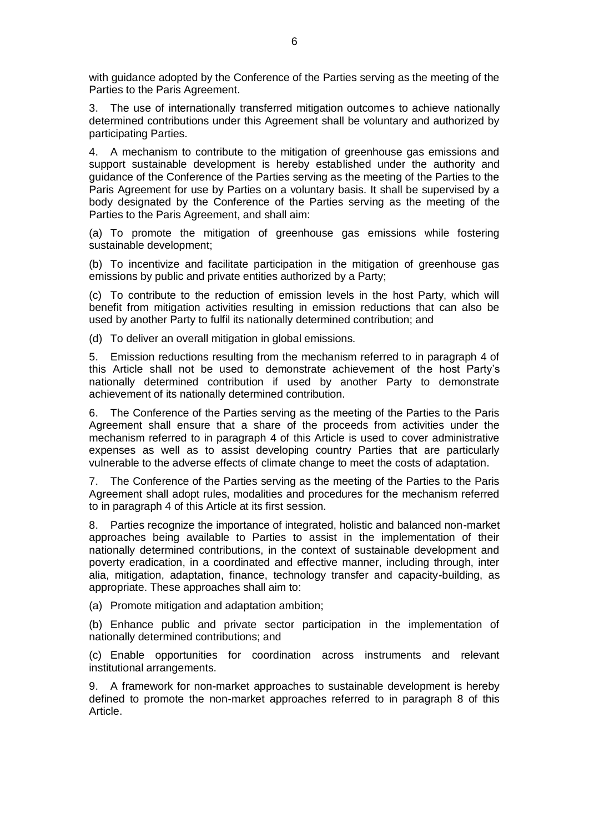with guidance adopted by the Conference of the Parties serving as the meeting of the Parties to the Paris Agreement.

3. The use of internationally transferred mitigation outcomes to achieve nationally determined contributions under this Agreement shall be voluntary and authorized by participating Parties.

4. A mechanism to contribute to the mitigation of greenhouse gas emissions and support sustainable development is hereby established under the authority and guidance of the Conference of the Parties serving as the meeting of the Parties to the Paris Agreement for use by Parties on a voluntary basis. It shall be supervised by a body designated by the Conference of the Parties serving as the meeting of the Parties to the Paris Agreement, and shall aim:

(a) To promote the mitigation of greenhouse gas emissions while fostering sustainable development;

(b) To incentivize and facilitate participation in the mitigation of greenhouse gas emissions by public and private entities authorized by a Party;

(c) To contribute to the reduction of emission levels in the host Party, which will benefit from mitigation activities resulting in emission reductions that can also be used by another Party to fulfil its nationally determined contribution; and

(d) To deliver an overall mitigation in global emissions.

5. Emission reductions resulting from the mechanism referred to in paragraph 4 of this Article shall not be used to demonstrate achievement of the host Party's nationally determined contribution if used by another Party to demonstrate achievement of its nationally determined contribution.

6. The Conference of the Parties serving as the meeting of the Parties to the Paris Agreement shall ensure that a share of the proceeds from activities under the mechanism referred to in paragraph 4 of this Article is used to cover administrative expenses as well as to assist developing country Parties that are particularly vulnerable to the adverse effects of climate change to meet the costs of adaptation.

7. The Conference of the Parties serving as the meeting of the Parties to the Paris Agreement shall adopt rules, modalities and procedures for the mechanism referred to in paragraph 4 of this Article at its first session.

8. Parties recognize the importance of integrated, holistic and balanced non-market approaches being available to Parties to assist in the implementation of their nationally determined contributions, in the context of sustainable development and poverty eradication, in a coordinated and effective manner, including through, inter alia, mitigation, adaptation, finance, technology transfer and capacity-building, as appropriate. These approaches shall aim to:

(a) Promote mitigation and adaptation ambition;

(b) Enhance public and private sector participation in the implementation of nationally determined contributions; and

(c) Enable opportunities for coordination across instruments and relevant institutional arrangements.

9. A framework for non-market approaches to sustainable development is hereby defined to promote the non-market approaches referred to in paragraph 8 of this Article.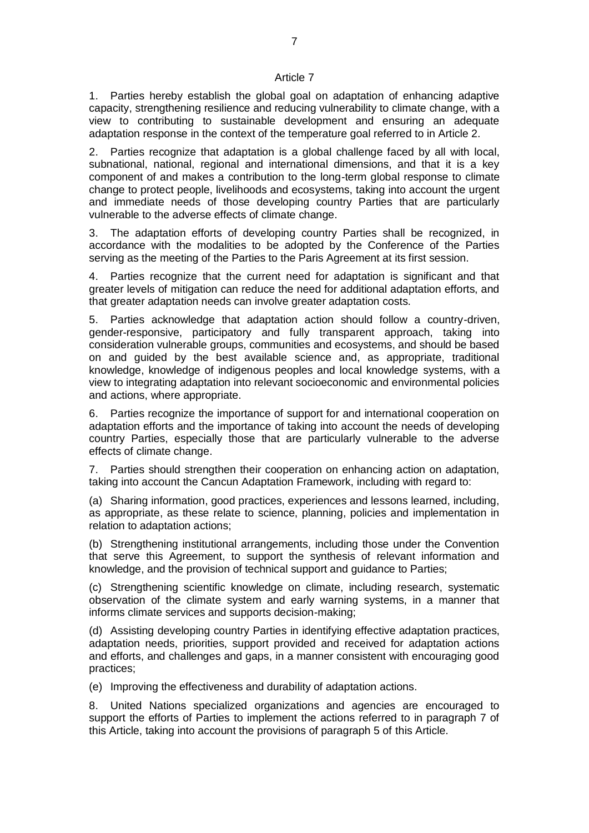#### Article 7

1. Parties hereby establish the global goal on adaptation of enhancing adaptive capacity, strengthening resilience and reducing vulnerability to climate change, with a view to contributing to sustainable development and ensuring an adequate adaptation response in the context of the temperature goal referred to in Article 2.

2. Parties recognize that adaptation is a global challenge faced by all with local, subnational, national, regional and international dimensions, and that it is a key component of and makes a contribution to the long-term global response to climate change to protect people, livelihoods and ecosystems, taking into account the urgent and immediate needs of those developing country Parties that are particularly vulnerable to the adverse effects of climate change.

3. The adaptation efforts of developing country Parties shall be recognized, in accordance with the modalities to be adopted by the Conference of the Parties serving as the meeting of the Parties to the Paris Agreement at its first session.

4. Parties recognize that the current need for adaptation is significant and that greater levels of mitigation can reduce the need for additional adaptation efforts, and that greater adaptation needs can involve greater adaptation costs.

5. Parties acknowledge that adaptation action should follow a country-driven, gender-responsive, participatory and fully transparent approach, taking into consideration vulnerable groups, communities and ecosystems, and should be based on and guided by the best available science and, as appropriate, traditional knowledge, knowledge of indigenous peoples and local knowledge systems, with a view to integrating adaptation into relevant socioeconomic and environmental policies and actions, where appropriate.

6. Parties recognize the importance of support for and international cooperation on adaptation efforts and the importance of taking into account the needs of developing country Parties, especially those that are particularly vulnerable to the adverse effects of climate change.

7. Parties should strengthen their cooperation on enhancing action on adaptation, taking into account the Cancun Adaptation Framework, including with regard to:

(a) Sharing information, good practices, experiences and lessons learned, including, as appropriate, as these relate to science, planning, policies and implementation in relation to adaptation actions;

(b) Strengthening institutional arrangements, including those under the Convention that serve this Agreement, to support the synthesis of relevant information and knowledge, and the provision of technical support and guidance to Parties;

(c) Strengthening scientific knowledge on climate, including research, systematic observation of the climate system and early warning systems, in a manner that informs climate services and supports decision-making;

(d) Assisting developing country Parties in identifying effective adaptation practices, adaptation needs, priorities, support provided and received for adaptation actions and efforts, and challenges and gaps, in a manner consistent with encouraging good practices;

(e) Improving the effectiveness and durability of adaptation actions.

8. United Nations specialized organizations and agencies are encouraged to support the efforts of Parties to implement the actions referred to in paragraph 7 of this Article, taking into account the provisions of paragraph 5 of this Article.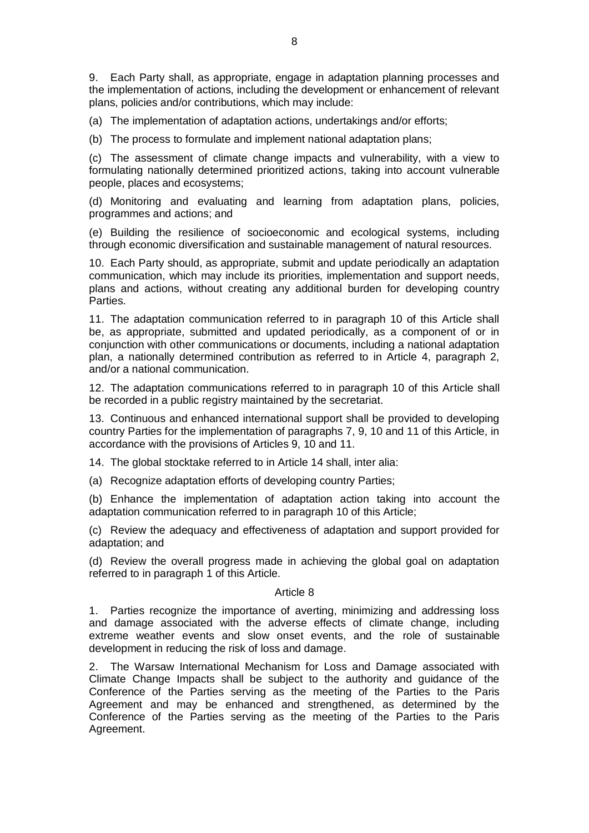9. Each Party shall, as appropriate, engage in adaptation planning processes and the implementation of actions, including the development or enhancement of relevant plans, policies and/or contributions, which may include:

(a) The implementation of adaptation actions, undertakings and/or efforts;

(b) The process to formulate and implement national adaptation plans;

(c) The assessment of climate change impacts and vulnerability, with a view to formulating nationally determined prioritized actions, taking into account vulnerable people, places and ecosystems;

(d) Monitoring and evaluating and learning from adaptation plans, policies, programmes and actions; and

(e) Building the resilience of socioeconomic and ecological systems, including through economic diversification and sustainable management of natural resources.

10. Each Party should, as appropriate, submit and update periodically an adaptation communication, which may include its priorities, implementation and support needs, plans and actions, without creating any additional burden for developing country Parties.

11. The adaptation communication referred to in paragraph 10 of this Article shall be, as appropriate, submitted and updated periodically, as a component of or in conjunction with other communications or documents, including a national adaptation plan, a nationally determined contribution as referred to in Article 4, paragraph 2, and/or a national communication.

12. The adaptation communications referred to in paragraph 10 of this Article shall be recorded in a public registry maintained by the secretariat.

13. Continuous and enhanced international support shall be provided to developing country Parties for the implementation of paragraphs 7, 9, 10 and 11 of this Article, in accordance with the provisions of Articles 9, 10 and 11.

14. The global stocktake referred to in Article 14 shall, inter alia:

(a) Recognize adaptation efforts of developing country Parties;

(b) Enhance the implementation of adaptation action taking into account the adaptation communication referred to in paragraph 10 of this Article;

(c) Review the adequacy and effectiveness of adaptation and support provided for adaptation; and

(d) Review the overall progress made in achieving the global goal on adaptation referred to in paragraph 1 of this Article.

#### Article 8

1. Parties recognize the importance of averting, minimizing and addressing loss and damage associated with the adverse effects of climate change, including extreme weather events and slow onset events, and the role of sustainable development in reducing the risk of loss and damage.

2. The Warsaw International Mechanism for Loss and Damage associated with Climate Change Impacts shall be subject to the authority and guidance of the Conference of the Parties serving as the meeting of the Parties to the Paris Agreement and may be enhanced and strengthened, as determined by the Conference of the Parties serving as the meeting of the Parties to the Paris Agreement.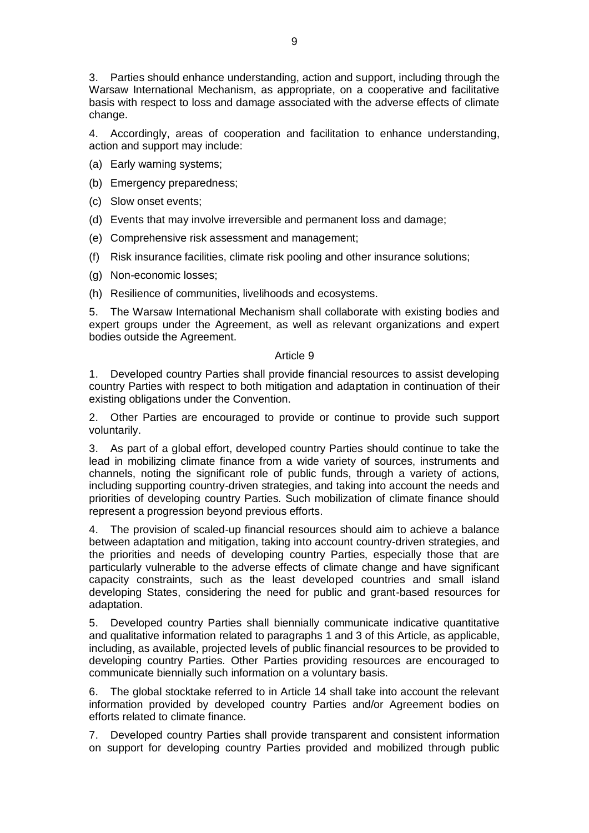3. Parties should enhance understanding, action and support, including through the Warsaw International Mechanism, as appropriate, on a cooperative and facilitative basis with respect to loss and damage associated with the adverse effects of climate change.

4. Accordingly, areas of cooperation and facilitation to enhance understanding, action and support may include:

- (a) Early warning systems;
- (b) Emergency preparedness;
- (c) Slow onset events;
- (d) Events that may involve irreversible and permanent loss and damage;
- (e) Comprehensive risk assessment and management;
- (f) Risk insurance facilities, climate risk pooling and other insurance solutions;
- (g) Non-economic losses;
- (h) Resilience of communities, livelihoods and ecosystems.

5. The Warsaw International Mechanism shall collaborate with existing bodies and expert groups under the Agreement, as well as relevant organizations and expert bodies outside the Agreement.

## Article 9

1. Developed country Parties shall provide financial resources to assist developing country Parties with respect to both mitigation and adaptation in continuation of their existing obligations under the Convention.

2. Other Parties are encouraged to provide or continue to provide such support voluntarily.

3. As part of a global effort, developed country Parties should continue to take the lead in mobilizing climate finance from a wide variety of sources, instruments and channels, noting the significant role of public funds, through a variety of actions, including supporting country-driven strategies, and taking into account the needs and priorities of developing country Parties. Such mobilization of climate finance should represent a progression beyond previous efforts.

4. The provision of scaled-up financial resources should aim to achieve a balance between adaptation and mitigation, taking into account country-driven strategies, and the priorities and needs of developing country Parties, especially those that are particularly vulnerable to the adverse effects of climate change and have significant capacity constraints, such as the least developed countries and small island developing States, considering the need for public and grant-based resources for adaptation.

5. Developed country Parties shall biennially communicate indicative quantitative and qualitative information related to paragraphs 1 and 3 of this Article, as applicable, including, as available, projected levels of public financial resources to be provided to developing country Parties. Other Parties providing resources are encouraged to communicate biennially such information on a voluntary basis.

6. The global stocktake referred to in Article 14 shall take into account the relevant information provided by developed country Parties and/or Agreement bodies on efforts related to climate finance.

7. Developed country Parties shall provide transparent and consistent information on support for developing country Parties provided and mobilized through public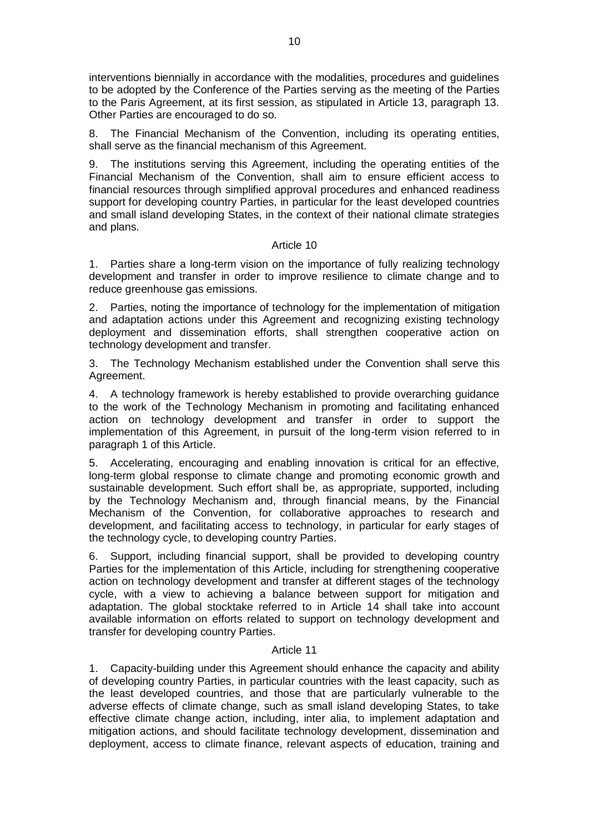interventions biennially in accordance with the modalities, procedures and guidelines to be adopted by the Conference of the Parties serving as the meeting of the Parties to the Paris Agreement, at its first session, as stipulated in Article 13, paragraph 13. Other Parties are encouraged to do so.

8. The Financial Mechanism of the Convention, including its operating entities, shall serve as the financial mechanism of this Agreement.

9. The institutions serving this Agreement, including the operating entities of the Financial Mechanism of the Convention, shall aim to ensure efficient access to financial resources through simplified approval procedures and enhanced readiness support for developing country Parties, in particular for the least developed countries and small island developing States, in the context of their national climate strategies and plans.

## Article 10

1. Parties share a long-term vision on the importance of fully realizing technology development and transfer in order to improve resilience to climate change and to reduce greenhouse gas emissions.

2. Parties, noting the importance of technology for the implementation of mitigation and adaptation actions under this Agreement and recognizing existing technology deployment and dissemination efforts, shall strengthen cooperative action on technology development and transfer.

3. The Technology Mechanism established under the Convention shall serve this Agreement.

4. A technology framework is hereby established to provide overarching guidance to the work of the Technology Mechanism in promoting and facilitating enhanced action on technology development and transfer in order to support the implementation of this Agreement, in pursuit of the long-term vision referred to in paragraph 1 of this Article.

5. Accelerating, encouraging and enabling innovation is critical for an effective, long-term global response to climate change and promoting economic growth and sustainable development. Such effort shall be, as appropriate, supported, including by the Technology Mechanism and, through financial means, by the Financial Mechanism of the Convention, for collaborative approaches to research and development, and facilitating access to technology, in particular for early stages of the technology cycle, to developing country Parties.

6. Support, including financial support, shall be provided to developing country Parties for the implementation of this Article, including for strengthening cooperative action on technology development and transfer at different stages of the technology cycle, with a view to achieving a balance between support for mitigation and adaptation. The global stocktake referred to in Article 14 shall take into account available information on efforts related to support on technology development and transfer for developing country Parties.

## Article 11

1. Capacity-building under this Agreement should enhance the capacity and ability of developing country Parties, in particular countries with the least capacity, such as the least developed countries, and those that are particularly vulnerable to the adverse effects of climate change, such as small island developing States, to take effective climate change action, including, inter alia, to implement adaptation and mitigation actions, and should facilitate technology development, dissemination and deployment, access to climate finance, relevant aspects of education, training and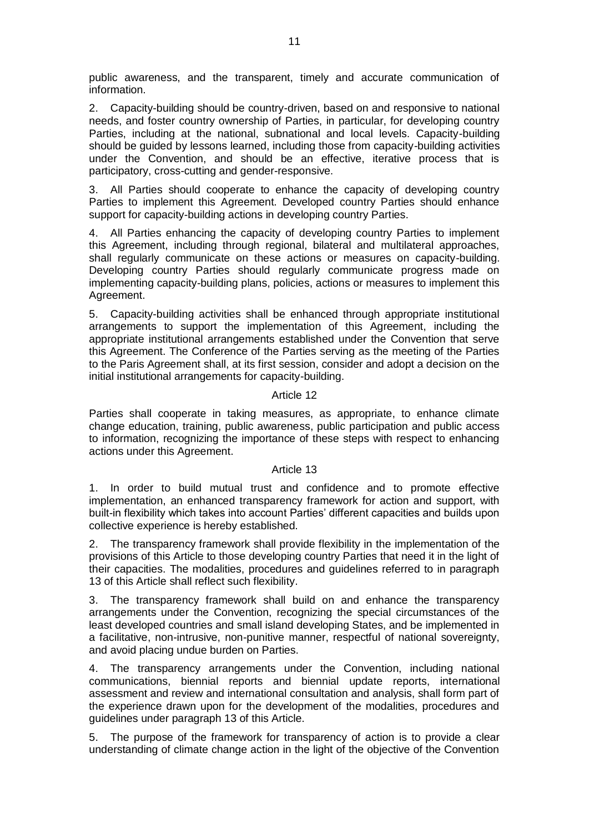public awareness, and the transparent, timely and accurate communication of information.

2. Capacity-building should be country-driven, based on and responsive to national needs, and foster country ownership of Parties, in particular, for developing country Parties, including at the national, subnational and local levels. Capacity-building should be guided by lessons learned, including those from capacity-building activities under the Convention, and should be an effective, iterative process that is participatory, cross-cutting and gender-responsive.

3. All Parties should cooperate to enhance the capacity of developing country Parties to implement this Agreement. Developed country Parties should enhance support for capacity-building actions in developing country Parties.

4. All Parties enhancing the capacity of developing country Parties to implement this Agreement, including through regional, bilateral and multilateral approaches, shall requiarly communicate on these actions or measures on capacity-building. Developing country Parties should regularly communicate progress made on implementing capacity-building plans, policies, actions or measures to implement this Agreement.

5. Capacity-building activities shall be enhanced through appropriate institutional arrangements to support the implementation of this Agreement, including the appropriate institutional arrangements established under the Convention that serve this Agreement. The Conference of the Parties serving as the meeting of the Parties to the Paris Agreement shall, at its first session, consider and adopt a decision on the initial institutional arrangements for capacity-building.

## Article 12

Parties shall cooperate in taking measures, as appropriate, to enhance climate change education, training, public awareness, public participation and public access to information, recognizing the importance of these steps with respect to enhancing actions under this Agreement.

## Article 13

1. In order to build mutual trust and confidence and to promote effective implementation, an enhanced transparency framework for action and support, with built-in flexibility which takes into account Parties' different capacities and builds upon collective experience is hereby established.

2. The transparency framework shall provide flexibility in the implementation of the provisions of this Article to those developing country Parties that need it in the light of their capacities. The modalities, procedures and guidelines referred to in paragraph 13 of this Article shall reflect such flexibility.

3. The transparency framework shall build on and enhance the transparency arrangements under the Convention, recognizing the special circumstances of the least developed countries and small island developing States, and be implemented in a facilitative, non-intrusive, non-punitive manner, respectful of national sovereignty, and avoid placing undue burden on Parties.

4. The transparency arrangements under the Convention, including national communications, biennial reports and biennial update reports, international assessment and review and international consultation and analysis, shall form part of the experience drawn upon for the development of the modalities, procedures and guidelines under paragraph 13 of this Article.

5. The purpose of the framework for transparency of action is to provide a clear understanding of climate change action in the light of the objective of the Convention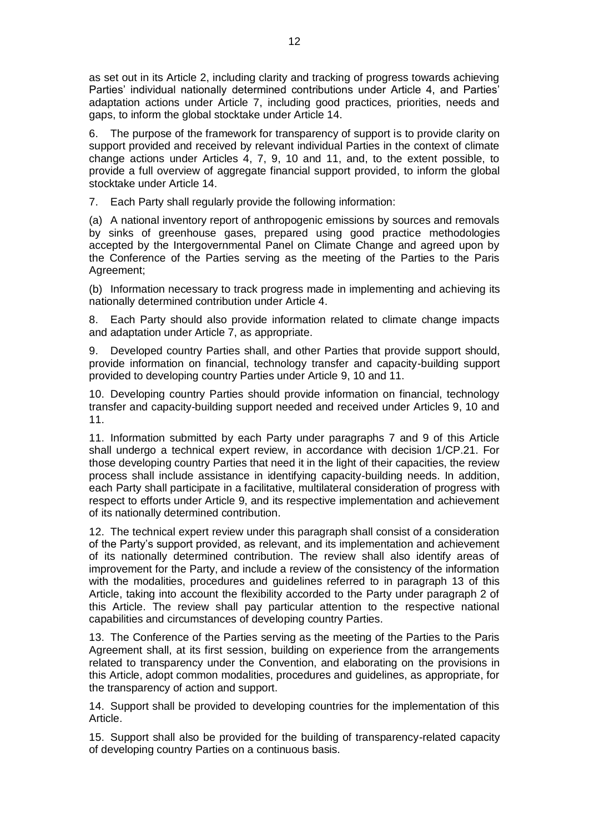as set out in its Article 2, including clarity and tracking of progress towards achieving Parties' individual nationally determined contributions under Article 4, and Parties' adaptation actions under Article 7, including good practices, priorities, needs and gaps, to inform the global stocktake under Article 14.

6. The purpose of the framework for transparency of support is to provide clarity on support provided and received by relevant individual Parties in the context of climate change actions under Articles 4, 7, 9, 10 and 11, and, to the extent possible, to provide a full overview of aggregate financial support provided, to inform the global stocktake under Article 14.

7. Each Party shall regularly provide the following information:

(a) A national inventory report of anthropogenic emissions by sources and removals by sinks of greenhouse gases, prepared using good practice methodologies accepted by the Intergovernmental Panel on Climate Change and agreed upon by the Conference of the Parties serving as the meeting of the Parties to the Paris Agreement;

(b) Information necessary to track progress made in implementing and achieving its nationally determined contribution under Article 4.

8. Each Party should also provide information related to climate change impacts and adaptation under Article 7, as appropriate.

9. Developed country Parties shall, and other Parties that provide support should, provide information on financial, technology transfer and capacity-building support provided to developing country Parties under Article 9, 10 and 11.

10. Developing country Parties should provide information on financial, technology transfer and capacity-building support needed and received under Articles 9, 10 and 11.

11. Information submitted by each Party under paragraphs 7 and 9 of this Article shall undergo a technical expert review, in accordance with decision 1/CP.21. For those developing country Parties that need it in the light of their capacities, the review process shall include assistance in identifying capacity-building needs. In addition, each Party shall participate in a facilitative, multilateral consideration of progress with respect to efforts under Article 9, and its respective implementation and achievement of its nationally determined contribution.

12. The technical expert review under this paragraph shall consist of a consideration of the Party's support provided, as relevant, and its implementation and achievement of its nationally determined contribution. The review shall also identify areas of improvement for the Party, and include a review of the consistency of the information with the modalities, procedures and guidelines referred to in paragraph 13 of this Article, taking into account the flexibility accorded to the Party under paragraph 2 of this Article. The review shall pay particular attention to the respective national capabilities and circumstances of developing country Parties.

13. The Conference of the Parties serving as the meeting of the Parties to the Paris Agreement shall, at its first session, building on experience from the arrangements related to transparency under the Convention, and elaborating on the provisions in this Article, adopt common modalities, procedures and guidelines, as appropriate, for the transparency of action and support.

14. Support shall be provided to developing countries for the implementation of this Article.

15. Support shall also be provided for the building of transparency-related capacity of developing country Parties on a continuous basis.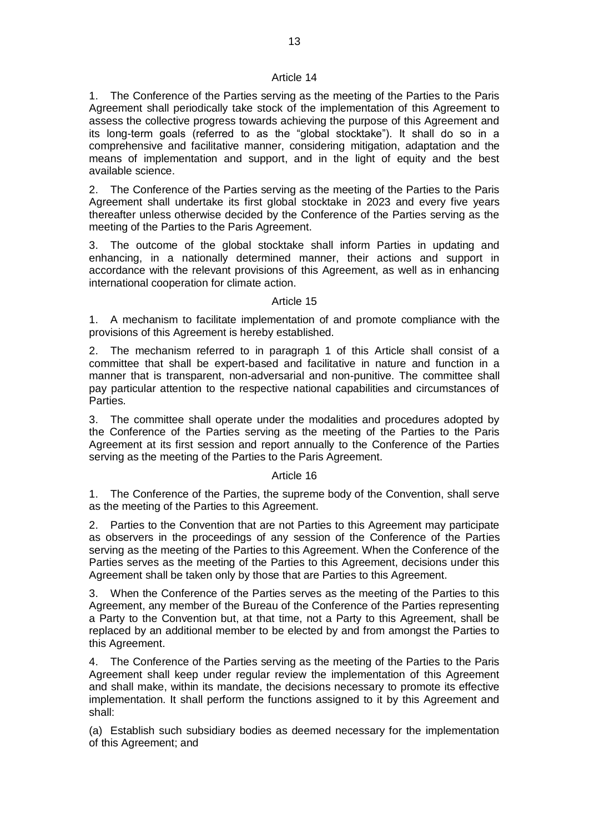#### Article 14

1. The Conference of the Parties serving as the meeting of the Parties to the Paris Agreement shall periodically take stock of the implementation of this Agreement to assess the collective progress towards achieving the purpose of this Agreement and its long-term goals (referred to as the "global stocktake"). It shall do so in a comprehensive and facilitative manner, considering mitigation, adaptation and the means of implementation and support, and in the light of equity and the best available science.

2. The Conference of the Parties serving as the meeting of the Parties to the Paris Agreement shall undertake its first global stocktake in 2023 and every five years thereafter unless otherwise decided by the Conference of the Parties serving as the meeting of the Parties to the Paris Agreement.

3. The outcome of the global stocktake shall inform Parties in updating and enhancing, in a nationally determined manner, their actions and support in accordance with the relevant provisions of this Agreement, as well as in enhancing international cooperation for climate action.

## Article 15

1. A mechanism to facilitate implementation of and promote compliance with the provisions of this Agreement is hereby established.

2. The mechanism referred to in paragraph 1 of this Article shall consist of a committee that shall be expert-based and facilitative in nature and function in a manner that is transparent, non-adversarial and non-punitive. The committee shall pay particular attention to the respective national capabilities and circumstances of Parties.

3. The committee shall operate under the modalities and procedures adopted by the Conference of the Parties serving as the meeting of the Parties to the Paris Agreement at its first session and report annually to the Conference of the Parties serving as the meeting of the Parties to the Paris Agreement.

## Article 16

1. The Conference of the Parties, the supreme body of the Convention, shall serve as the meeting of the Parties to this Agreement.

2. Parties to the Convention that are not Parties to this Agreement may participate as observers in the proceedings of any session of the Conference of the Parties serving as the meeting of the Parties to this Agreement. When the Conference of the Parties serves as the meeting of the Parties to this Agreement, decisions under this Agreement shall be taken only by those that are Parties to this Agreement.

3. When the Conference of the Parties serves as the meeting of the Parties to this Agreement, any member of the Bureau of the Conference of the Parties representing a Party to the Convention but, at that time, not a Party to this Agreement, shall be replaced by an additional member to be elected by and from amongst the Parties to this Agreement.

4. The Conference of the Parties serving as the meeting of the Parties to the Paris Agreement shall keep under regular review the implementation of this Agreement and shall make, within its mandate, the decisions necessary to promote its effective implementation. It shall perform the functions assigned to it by this Agreement and shall:

(a) Establish such subsidiary bodies as deemed necessary for the implementation of this Agreement; and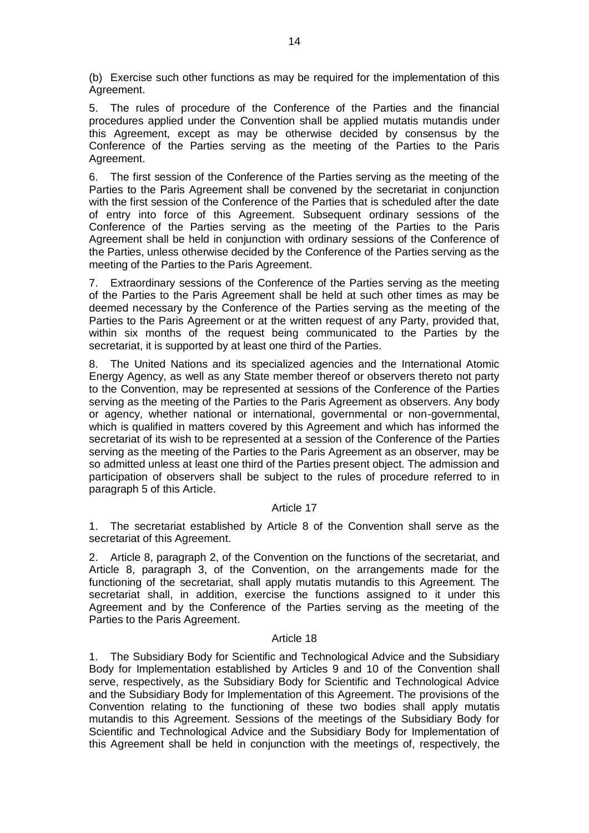(b) Exercise such other functions as may be required for the implementation of this Agreement.

5. The rules of procedure of the Conference of the Parties and the financial procedures applied under the Convention shall be applied mutatis mutandis under this Agreement, except as may be otherwise decided by consensus by the Conference of the Parties serving as the meeting of the Parties to the Paris Agreement.

6. The first session of the Conference of the Parties serving as the meeting of the Parties to the Paris Agreement shall be convened by the secretariat in conjunction with the first session of the Conference of the Parties that is scheduled after the date of entry into force of this Agreement. Subsequent ordinary sessions of the Conference of the Parties serving as the meeting of the Parties to the Paris Agreement shall be held in conjunction with ordinary sessions of the Conference of the Parties, unless otherwise decided by the Conference of the Parties serving as the meeting of the Parties to the Paris Agreement.

7. Extraordinary sessions of the Conference of the Parties serving as the meeting of the Parties to the Paris Agreement shall be held at such other times as may be deemed necessary by the Conference of the Parties serving as the meeting of the Parties to the Paris Agreement or at the written request of any Party, provided that, within six months of the request being communicated to the Parties by the secretariat, it is supported by at least one third of the Parties.

8. The United Nations and its specialized agencies and the International Atomic Energy Agency, as well as any State member thereof or observers thereto not party to the Convention, may be represented at sessions of the Conference of the Parties serving as the meeting of the Parties to the Paris Agreement as observers. Any body or agency, whether national or international, governmental or non-governmental, which is qualified in matters covered by this Agreement and which has informed the secretariat of its wish to be represented at a session of the Conference of the Parties serving as the meeting of the Parties to the Paris Agreement as an observer, may be so admitted unless at least one third of the Parties present object. The admission and participation of observers shall be subject to the rules of procedure referred to in paragraph 5 of this Article.

## Article 17

1. The secretariat established by Article 8 of the Convention shall serve as the secretariat of this Agreement.

2. Article 8, paragraph 2, of the Convention on the functions of the secretariat, and Article 8, paragraph 3, of the Convention, on the arrangements made for the functioning of the secretariat, shall apply mutatis mutandis to this Agreement. The secretariat shall, in addition, exercise the functions assigned to it under this Agreement and by the Conference of the Parties serving as the meeting of the Parties to the Paris Agreement.

## Article 18

1. The Subsidiary Body for Scientific and Technological Advice and the Subsidiary Body for Implementation established by Articles 9 and 10 of the Convention shall serve, respectively, as the Subsidiary Body for Scientific and Technological Advice and the Subsidiary Body for Implementation of this Agreement. The provisions of the Convention relating to the functioning of these two bodies shall apply mutatis mutandis to this Agreement. Sessions of the meetings of the Subsidiary Body for Scientific and Technological Advice and the Subsidiary Body for Implementation of this Agreement shall be held in conjunction with the meetings of, respectively, the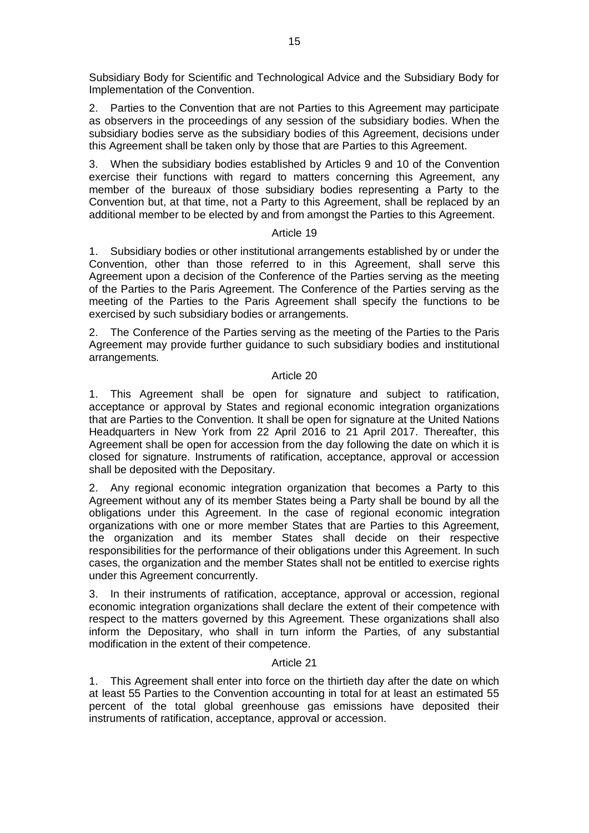Subsidiary Body for Scientific and Technological Advice and the Subsidiary Body for Implementation of the Convention.

2. Parties to the Convention that are not Parties to this Agreement may participate as observers in the proceedings of any session of the subsidiary bodies. When the subsidiary bodies serve as the subsidiary bodies of this Agreement, decisions under this Agreement shall be taken only by those that are Parties to this Agreement.

3. When the subsidiary bodies established by Articles 9 and 10 of the Convention exercise their functions with regard to matters concerning this Agreement, any member of the bureaux of those subsidiary bodies representing a Party to the Convention but, at that time, not a Party to this Agreement, shall be replaced by an additional member to be elected by and from amongst the Parties to this Agreement.

## Article 19

1. Subsidiary bodies or other institutional arrangements established by or under the Convention, other than those referred to in this Agreement, shall serve this Agreement upon a decision of the Conference of the Parties serving as the meeting of the Parties to the Paris Agreement. The Conference of the Parties serving as the meeting of the Parties to the Paris Agreement shall specify the functions to be exercised by such subsidiary bodies or arrangements.

2. The Conference of the Parties serving as the meeting of the Parties to the Paris Agreement may provide further guidance to such subsidiary bodies and institutional arrangements.

## Article 20

1. This Agreement shall be open for signature and subject to ratification, acceptance or approval by States and regional economic integration organizations that are Parties to the Convention. It shall be open for signature at the United Nations Headquarters in New York from 22 April 2016 to 21 April 2017. Thereafter, this Agreement shall be open for accession from the day following the date on which it is closed for signature. Instruments of ratification, acceptance, approval or accession shall be deposited with the Depositary.

2. Any regional economic integration organization that becomes a Party to this Agreement without any of its member States being a Party shall be bound by all the obligations under this Agreement. In the case of regional economic integration organizations with one or more member States that are Parties to this Agreement, the organization and its member States shall decide on their respective responsibilities for the performance of their obligations under this Agreement. In such cases, the organization and the member States shall not be entitled to exercise rights under this Agreement concurrently.

3. In their instruments of ratification, acceptance, approval or accession, regional economic integration organizations shall declare the extent of their competence with respect to the matters governed by this Agreement. These organizations shall also inform the Depositary, who shall in turn inform the Parties, of any substantial modification in the extent of their competence.

## Article 21

1. This Agreement shall enter into force on the thirtieth day after the date on which at least 55 Parties to the Convention accounting in total for at least an estimated 55 percent of the total global greenhouse gas emissions have deposited their instruments of ratification, acceptance, approval or accession.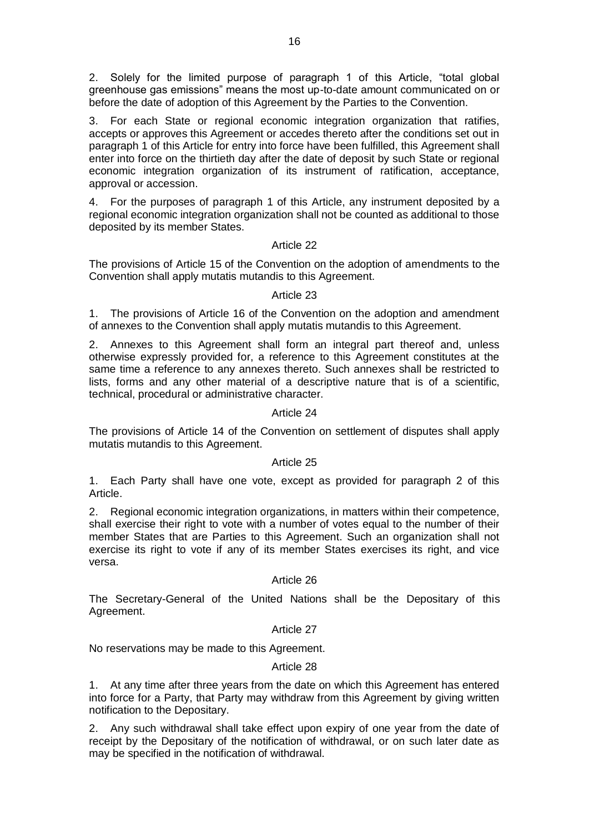2. Solely for the limited purpose of paragraph 1 of this Article, "total global greenhouse gas emissions" means the most up-to-date amount communicated on or before the date of adoption of this Agreement by the Parties to the Convention.

3. For each State or regional economic integration organization that ratifies, accepts or approves this Agreement or accedes thereto after the conditions set out in paragraph 1 of this Article for entry into force have been fulfilled, this Agreement shall enter into force on the thirtieth day after the date of deposit by such State or regional economic integration organization of its instrument of ratification, acceptance, approval or accession.

4. For the purposes of paragraph 1 of this Article, any instrument deposited by a regional economic integration organization shall not be counted as additional to those deposited by its member States.

## Article 22

The provisions of Article 15 of the Convention on the adoption of amendments to the Convention shall apply mutatis mutandis to this Agreement.

## Article 23

1. The provisions of Article 16 of the Convention on the adoption and amendment of annexes to the Convention shall apply mutatis mutandis to this Agreement.

2. Annexes to this Agreement shall form an integral part thereof and, unless otherwise expressly provided for, a reference to this Agreement constitutes at the same time a reference to any annexes thereto. Such annexes shall be restricted to lists, forms and any other material of a descriptive nature that is of a scientific, technical, procedural or administrative character.

## Article 24

The provisions of Article 14 of the Convention on settlement of disputes shall apply mutatis mutandis to this Agreement.

## Article 25

1. Each Party shall have one vote, except as provided for paragraph 2 of this Article.

2. Regional economic integration organizations, in matters within their competence, shall exercise their right to vote with a number of votes equal to the number of their member States that are Parties to this Agreement. Such an organization shall not exercise its right to vote if any of its member States exercises its right, and vice versa.

## Article 26

The Secretary-General of the United Nations shall be the Depositary of this Agreement.

## Article 27

No reservations may be made to this Agreement.

## Article 28

1. At any time after three years from the date on which this Agreement has entered into force for a Party, that Party may withdraw from this Agreement by giving written notification to the Depositary.

2. Any such withdrawal shall take effect upon expiry of one year from the date of receipt by the Depositary of the notification of withdrawal, or on such later date as may be specified in the notification of withdrawal.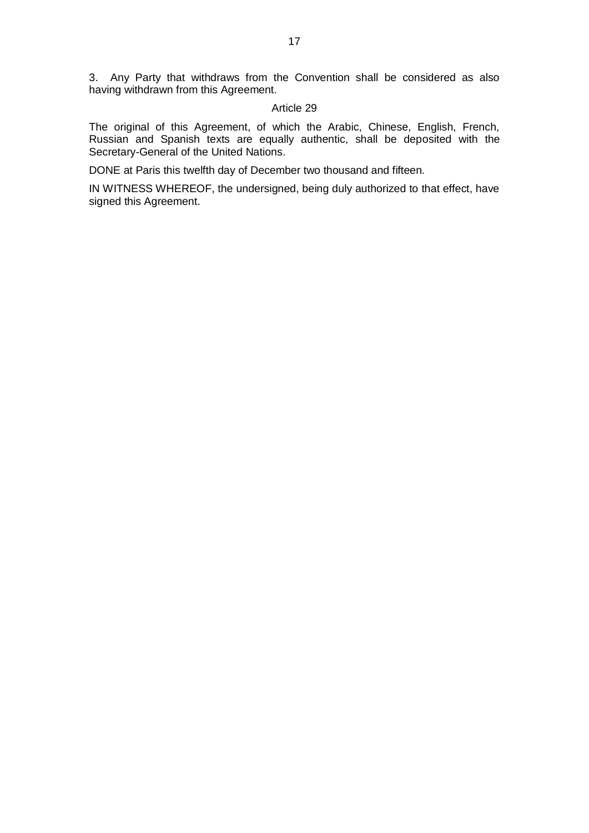3. Any Party that withdraws from the Convention shall be considered as also having withdrawn from this Agreement.

#### Article 29

The original of this Agreement, of which the Arabic, Chinese, English, French, Russian and Spanish texts are equally authentic, shall be deposited with the Secretary-General of the United Nations.

DONE at Paris this twelfth day of December two thousand and fifteen.

IN WITNESS WHEREOF, the undersigned, being duly authorized to that effect, have signed this Agreement.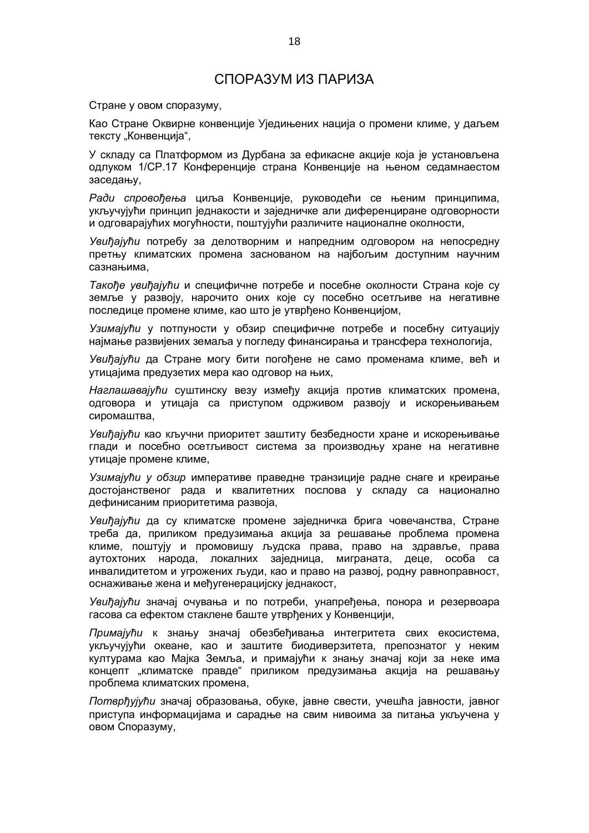## СПОРАЗУМ ИЗ ПАРИЗА

Стране у овом споразуму,

Као Стране Оквирне конвенције Уједињених нација о промени климе, у даљем тексту "Конвенција",

У складу са Платформом из Дурбана за ефикасне акције која је установљена одлуком 1/СР.17 Конференције страна Конвенције на њеном седамнаестом заседању,

*Ради спровођења* циља Конвенције, руководећи се њеним принципима, укључујући принцип једнакости и заједничке али диференциране одговорности и одговарајућих могућности, поштујући различите националне околности,

*Увиђајући* потребу за делотворним и напредним одговором на непосредну претњу климатских промена заснованoм на најбољим доступним научним сазнањима,

*Такође увиђајући* и специфичне потребе и посебне околности Страна које су земље у развоју, нарочито оних које су посебно осетљиве на негативне последице промене климе, као што је утврђено Конвенцијом,

*Узимајући* у потпуности у обзир специфичне потребе и посебну ситуацију најмање развијених земаља у погледу финансирања и трансфера технологија,

*Увиђајући* да Стране могу бити погођене не само променама климе, већ и утицајима предузетих мера као одговор на њих,

*Наглашавајући* суштинску везу између акција против климатских промена, одговора и утицаја са приступом одрживом развоју и искорењивањем сиромаштва,

*Увиђајући* као кључни приоритет заштиту безбедности хране и искорењивање глади и посебно осетљивост система за производњу хране на негативне утицаје промене климе,

*Узимајући у обзир* императиве праведне транзиције радне снаге и креирање достојанственог рада и квалитетних послова у складу са национално дефинисаним приоритетима развоја,

*Увиђајући* да су климатске промене заједничка брига човечанства, Стране треба да, приликом предузимања акција за решавање проблема промена климе, поштују и промовишу људска права, право на здравље, права аутохтоних народа, локалних заједница, миграната, деце, особа са инвалидитетом и угрожених људи, као и право на развој, родну равноправност, оснаживање жена и међугенерацијску једнакост,

*Увиђајући* значај очувања и по потреби, унапређења, понора и резервоара гасова са ефектом стаклене баште утврђених у Конвенцији,

*Примајући* к знању значај обезбеђивања интегритета свих екосистема, укључујући океане, као и заштите биодиверзитета, препознатог у неким културама као Мајка Земља, и примајући к знању значај који за неке има концепт "климатске правде" приликом предузимања акција на решавању проблема климатских промена,

*Потврђујући* значај образовања, обуке, јавне свести, учешћа јавности, јавног приступа информацијама и сарадње на свим нивоима за питања укључена у овом Споразуму,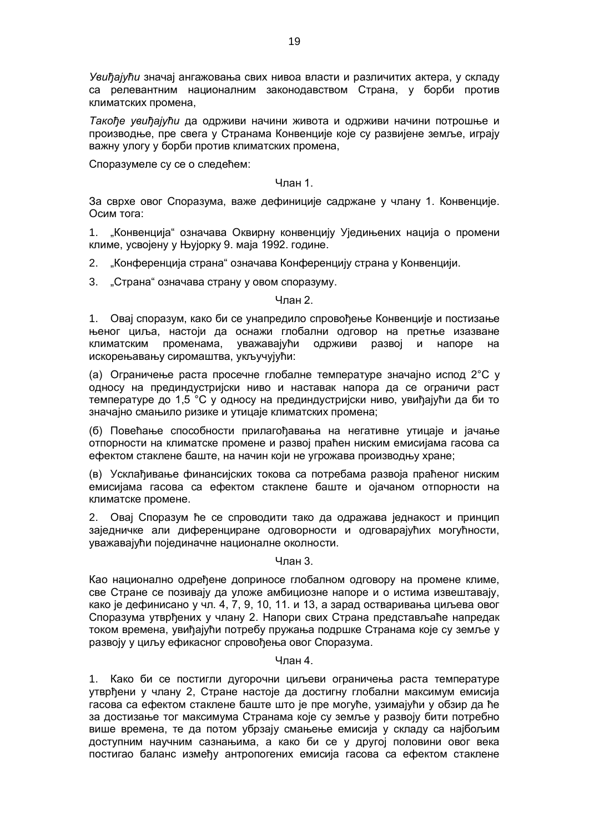*Увиђајући* значај ангажовања свих нивоа власти и различитих актера, у складу са релевантним националним законодавством Страна, у борби против климатских промена,

*Такође увиђајући* да одрживи начини живота и одрживи начини потрошње и производње, пре свега у Странама Конвенције које су развијене земље, играју важну улогу у борби против климатских промена,

Споразумеле су се о следећем:

Члан 1.

За сврхе овог Споразума, важе дефиниције садржане у члану 1. Конвенције. Осим тога:

1. "Конвенција" означава Оквирну конвенцију Уједињених нација о промени климе, усвојену у Њујорку 9. маја 1992. године.

2. "Конференција страна" означава Конференцију страна у Конвенцији.

3. "Страна" означава страну у овом споразуму.

Члан 2.

1. Овај споразум, како би се унапредило спровођење Конвенције и постизање њеног циља, настоји да оснажи глобални одговор на претње изазване климатским променама, уважавајући одрживи развој и напоре на искорењавању сиромаштва, укључујући:

(а) Ограничење раста просечне глобалне температуре значајно испод 2°С у односу на прединдустријски ниво и наставак напора да се ограничи раст температуре до 1,5 °С у односу на прединдустријски ниво, увиђајући да би то значајно смањило ризике и утицаје климатских промена;

(б) Повећање способности прилагођавања на негативне утицаје и јачање отпорности на климатске промене и развој праћен ниским емисијама гасова са ефектом стаклене баште, на начин који не угрожава производњу хране;

(в) Усклађивање финансијских токова са потребама развоја праћеног ниским емисијама гасова са ефектом стаклене баште и ојачаном отпорности на климатске промене.

2. Овај Споразум ће се спроводити тако да одражава једнакост и принцип заједничке али диференциране одговорности и одговарајућих могућности, уважавајући појединачне националне околности.

## Члан 3.

Као национално одређене доприносе глобалном одговору на промене климе, све Стране се позивају да уложе амбициозне напоре и о истима извештавају, како је дефинисано у чл. 4, 7, 9, 10, 11. и 13, а зарад остваривања циљева овог Споразума утврђених у члану 2. Напори свих Страна представљаће напредак током времена, увиђајући потребу пружања подршке Странама које су земље у развоју у циљу ефикасног спровођења овог Споразума.

## Члан 4.

1. Како би се постигли дугорочни циљеви ограничења раста температуре утврђени у члану 2, Стране настоје да достигну глобални максимум емисија гасова са ефектом стаклене баште што је пре могуће, узимајући у обзир да ће за достизање тог максимума Странама које су земље у развоју бити потребно више времена, те да потом убрзају смањење емисија у складу са најбољим доступним научним сазнањима, а како би се у другој половини овог века постигао баланс између антропогених емисија гасова са ефектом стаклене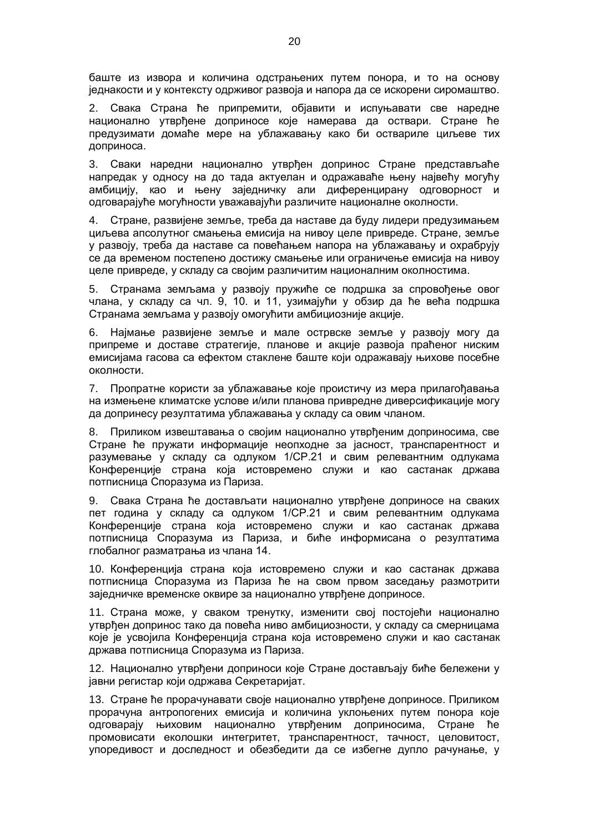баште из извора и количина одстрањених путем понора, и то на основу једнакости и у контексту одрживог развоја и напора да се искорени сиромаштво.

2. Свака Страна ће припремити, објавити и испуњавати све наредне национално утврђене доприносе које намерава да оствари. Стране ће предузимати домаће мере на ублажавању како би оствариле циљеве тих доприноса.

3. Сваки наредни национално утврђен допринос Стране представљаће напредак у односу на до тада актуелан и одражаваће њену највећу могућу амбицију, као и њену заједничку али диференцирану одговорност и одговарајуће могућности уважавајући различите националне околности.

4. Стране, развијене земље, треба да наставе да буду лидери предузимањем циљева апсолутног смањења емисија на нивоу целе привреде. Стране, земље у развоју, треба да наставе са повећањем напора на ублажавању и охрабрују се да временом постепено достижу смањење или ограничење емисија на нивоу целе привреде, у складу са својим различитим националним околностима.

5. Странама земљама у развоју пружиће се подршка за спровођење овог члана, у складу са чл. 9, 10. и 11, узимајући у обзир да ће већа подршка Странама земљама у развоју омогућити амбициозније акције.

6. Најмање развијене земље и мале острвске земље у развоју могу да припреме и доставе стратегије, планове и акције развоја праћеног ниским емисијама гасова са ефектом стаклене баште који одражавају њихове посебне околности.

7. Пропратне користи за ублажавање које проистичу из мера прилагођавања на измењене климатске услове и/или планова привредне диверсификације могу да допринесу резултатима ублажавања у складу са овим чланом.

8. Приликом извештавања о својим национално утврђеним доприносима, све Стране ће пружати информације неопходне за јасност, транспарентност и разумевање у складу са одлуком 1/СР.21 и свим релевантним одлукама Конференције страна која истовремено служи и као састанак држава потписница Споразума из Париза.

9. Свака Страна ће достављати национално утврђене доприносе на сваких пет година у складу са одлуком 1/СР.21 и свим релевантним одлукама Конференције страна која истовремено служи и као састанак држава потписница Споразума из Париза, и биће информисана о резултатима глобалног разматрања из члана 14.

10. Конференција страна која истовремено служи и као састанак држава потписница Споразума из Париза ће на свом првом заседању размотрити заједничке временске оквире за национално утврђене доприносе.

11. Страна може, у сваком тренутку, изменити свој постојећи национално утврђен допринос тако да повећа ниво амбициозности, у складу са смерницама које је усвојила Конференција страна која истовремено служи и као састанак држава потписница Споразума из Париза.

12. Национално утврђени доприноси које Стране достављају биће бележени у јавни регистар који одржава Секретаријат.

13. Стране ће прорачунавати своје национално утврђене доприносе. Приликом прорачуна антропогених емисија и количина уклоњених путем понора које одговарају њиховим национално утврђеним доприносима, Стране ће промовисати еколошки интегритет, транспарентност, тачност, целовитост, упоредивост и доследност и обезбедити да се избегне дупло рачунање, у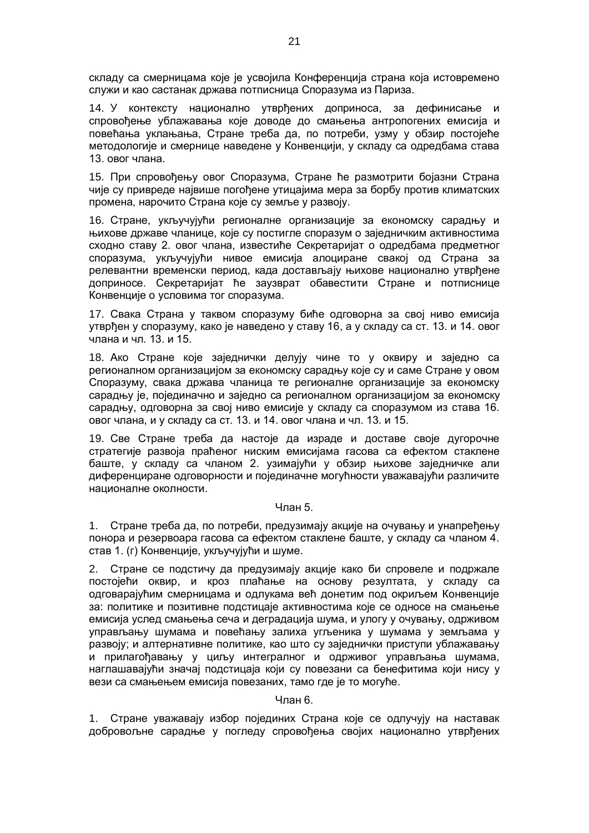складу са смерницама које је усвојила Конференција страна која истовремено служи и као састанак држава потписница Споразума из Париза.

14. У контексту национално утврђених доприноса, за дефинисање и спровођење ублажавања које доводе до смањења антропогених емисија и повећања уклањања, Стране треба да, по потреби, узму у обзир постојеће методологије и смернице наведене у Конвенцији, у складу са одредбама става 13. овог члана.

15. При спровођењу овог Споразума, Стране ће размотрити бојазни Страна чије су привреде највише погођене утицајима мера за борбу против климатских промена, нарочито Страна које су земље у развоју.

16. Стране, укључујући регионалне организације за економску сарадњу и њихове државе чланице, које су постигле споразум о заједничким активностима сходно ставу 2. овог члана, известиће Секретаријат о одредбама предметног споразума, укључујући нивое емисија алоциране свакој од Страна за релевантни временски период, када достављају њихове национално утврђене доприносе. Секретаријат ће заузврат обавестити Стране и потписнице Конвенције о условима тог споразума.

17. Свака Страна у таквом споразуму биће одговорна за свој ниво емисија утврђен у споразуму, како је наведено у ставу 16, а у складу са ст. 13. и 14. овог члана и чл. 13. и 15.

18. Ако Стране које заједнички делују чине то у оквиру и заједно са регионалном организацијом за економску сарадњу које су и саме Стране у овом Споразуму, свака држава чланица те регионалне организације за економску сарадњу је, појединачно и заједно са регионалном организацијом за економску сарадњу, одговорна за свој ниво емисије у складу са споразумом из става 16. овог члана, и у складу са ст. 13. и 14. овог члана и чл. 13. и 15.

19. Све Стране треба да настоје да израде и доставе своје дугорочне стратегије развоја праћеног ниским емисијама гасова са ефектом стаклене баште, у складу са чланом 2. узимајући у обзир њихове заједничке али диференциране одговорности и појединачне могућности уважавајући различите националне околности.

#### Члан 5.

1. Стране треба да, по потреби, предузимају акције на очувању и унапређењу понора и резервоара гасова са ефектом стаклене баште, у складу са чланом 4. став 1. (г) Конвенције, укључујући и шуме.

2. Стране се подстичу да предузимају акције како би спровеле и подржале постојећи оквир, и кроз плаћање на основу резултата, у складу са одговарајућим смерницама и одлукама већ донетим под окриљем Конвенције за: политике и позитивне подстицаје активностима које се односе на смањење емисија услед смањења сеча и деградација шума, и улогу у очувању, одрживом управљању шумама и повећању залиха угљеника у шумама у земљама у развоју; и алтернативне политике, као што су заједнички приступи ублажавању и прилагођавању у циљу интегралног и одрживог управљања шумама, наглашавајући значај подстицаја који су повезани са бенефитима који нису у вези са смањењем емисија повезаних, тамо где је то могуће.

## Члан 6.

1. Стране уважавају избор појединих Страна које се одлучују на наставак добровољне сарадње у погледу спровођења својих национално утврђених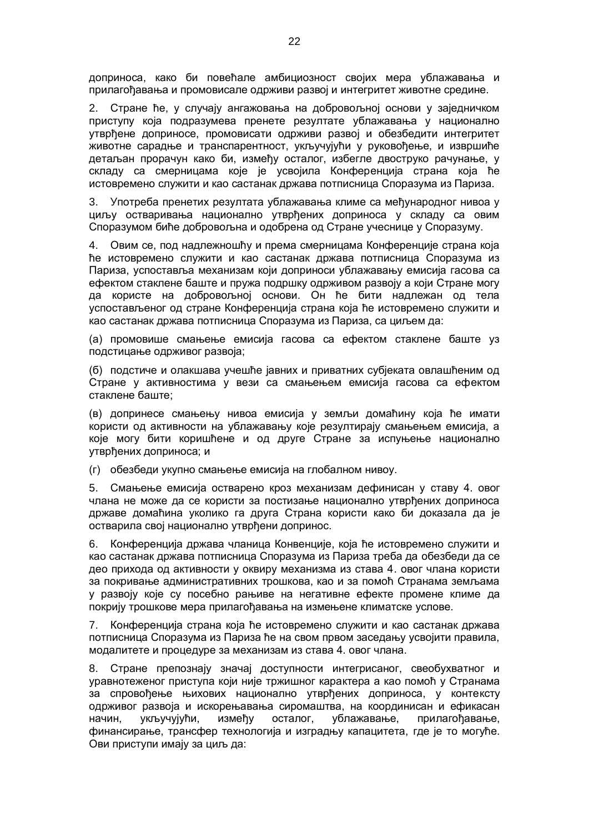доприноса, како би повећале амбициозност својих мера ублажавања и прилагођавања и промовисале одрживи развој и интегритет животне средине.

2. Стране ће, у случају ангажовања на добровољној основи у заједничком приступу која подразумева пренете резултате ублажавања у национално утврђене доприносе, промовисати одрживи развој и обезбедити интегритет животне сарадње и транспарентност, укључујући у руковођење, и извршиће детаљан прорачун како би, између осталог, избегле двоструко рачунање, у складу са смерницама које је усвојила Конференција страна која ће истовремено служити и као састанак држава потписница Споразума из Париза.

3. Употреба пренетих резултата ублажавања климе са међународног нивоа у циљу остваривања национално утврђених доприноса у складу са овим Споразумом биће добровољна и одобрена од Стране учеснице у Споразуму.

4. Овим се, под надлежношћу и према смерницама Конференције страна која ће истовремено служити и као састанак држава потписница Споразума из Париза, успоставља механизам који доприноси ублажавању емисија гасова са ефектом стаклене баште и пружа подршку одрживом развоју а који Стране могу да користе на добровољној основи. Он ће бити надлежан од тела успостављеног од стране Конференција страна која ће истовремено служити и као састанак држава потписница Споразума из Париза, са циљем да:

(а) промовише смањење емисија гасова са ефектом стаклене баште уз подстицање одрживог развоја;

(б) подстиче и олакшава учешће јавних и приватних субјеката овлашћеним од Стране у активностима у вези са смањењем емисија гасова са ефектом стаклене баште;

(в) допринесе смањењу нивоа емисија у земљи домаћину која ће имати користи од активности на ублажавању које резултирају смањењем емисија, а које могу бити коришћене и од друге Стране за испуњење национално утврђених доприноса; и

(г) обезбеди укупно смањење емисија на глобалном нивоу.

5. Смањење емисија остварено кроз механизам дефинисан у ставу 4. овог члана не може да се користи за постизање национално утврђених доприноса државе домаћина уколико га друга Страна користи како би доказала да је остварила свој национално утврђени допринос.

6. Конференција држава чланица Конвенције, која ће истовремено служити и као састанак држава потписница Споразума из Париза треба да обезбеди да се део прихода од активности у оквиру механизма из става 4. овог члана користи за покривање административних трошкова, као и за помоћ Странама земљама у развоју које су посебно рањиве на негативне ефекте промене климе да покрију трошкове мера прилагођавања на измењене климатске услове.

7. Конференција страна која ће истовремено служити и као састанак држава потписница Споразума из Париза ће на свом првом заседању усвојити правила, модалитете и процедуре за механизам из става 4. овог члана.

8. Стране препознају значај доступности интегрисаног, свеобухватног и уравнотеженог приступа који није тржишног карактера а као помоћ у Странама за спровођење њихових национално утврђених доприноса, у контексту одрживог развоја и искорењавања сиромаштва, на координисан и ефикасан начин, укључујући, између осталог, ублажавање, прилагођавање, финансирање, трансфер технологија и изградњу капацитета, где је то могуће. Ови приступи имају за циљ да: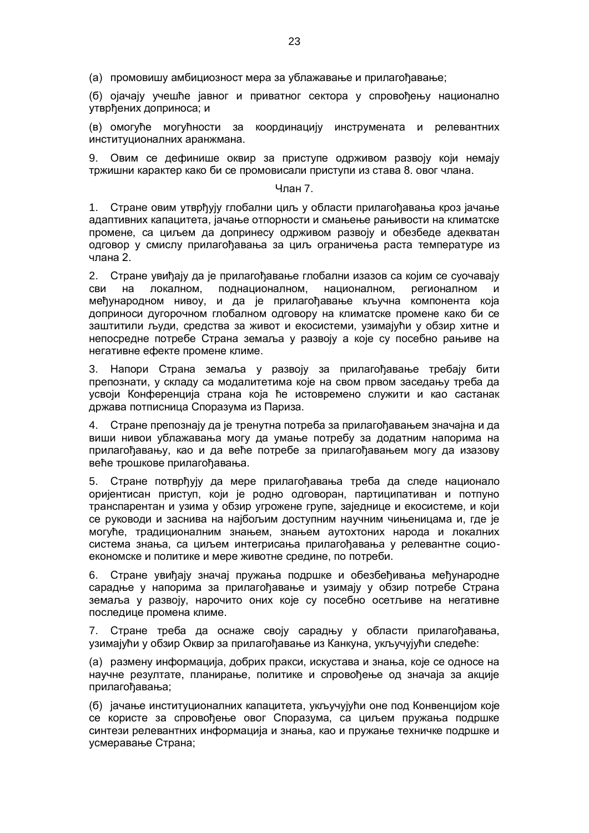(а) промовишу амбициозност мера за ублажавање и прилагођавање;

(б) ојачају учешће јавног и приватног сектора у спровођењу национално утврђених доприноса; и

(в) омогуће могућности за координацију инструмената и релевантних институционалних аранжмана.

9. Овим се дефинише оквир за приступe одрживом развоју који немају тржишни карактер како би се промовисали приступи из става 8. овог члана.

#### Члан 7.

1. Стране овим утврђују глобални циљ у области прилагођавања кроз јачање адаптивних капацитета, јачање отпорности и смањење рањивости на климатске промене, са циљем да допринесу одрживом развоју и обезбеде адекватан одговор у смислу прилагођавања за циљ ограничења раста температуре из члана 2.

2. Стране увиђају да је прилагођавање глобални изазов са којим се суочавају сви на локалном, поднационалном, националном, регионалном међународном нивоу, и да је прилагођавање кључна компонента која доприноси дугорочном глобалном одговору на климатске промене како би се заштитили људи, средства за живот и екосистеми, узимајући у обзир хитне и непосредне потребе Страна земаља у развоју а које су посебно рањиве на негативне ефекте промене климе.

3. Напори Страна земаља у развоју за прилагођавање требају бити препознати, у складу са модалитетима које на свом првом заседању треба да усвоји Конференција страна која ће истовремено служити и као састанак држава потписница Споразума из Париза.

4. Стране препознају да је тренутна потреба за прилагођавањем значајна и да виши нивои ублажавања могу да умање потребу за додатним напорима на прилагођавању, као и да веће потребе за прилагођавањем могу да изазову веће трошкове прилагођавања.

5. Стране потврђују да мере прилагођавања треба да следе национало оријентисан приступ, који је родно одговоран, партиципативан и потпуно транспарентан и узима у обзир угрожене групе, заједнице и екосистеме, и који се руководи и заснива на најбољим доступним научним чињеницама и, где је могуће, традиционалним знањем, знањем аутохтоних народа и локалних система знања, са циљем интегрисања прилагођавања у релевантне социоекономске и политике и мере животне средине, по потреби.

6. Стране увиђају значај пружања подршке и обезбеђивања међународне сарадње у напорима за прилагођавање и узимају у обзир потребе Страна земаља у развоју, нарочито оних које су посебно осетљиве на негативне последице промена климе.

7. Стране треба да оснаже своју сарадњу у области прилагођавања, узимајући у обзир Оквир за прилагођавање из Канкуна, укључујући следеће:

(а) размену информација, добрих пракси, искустава и знања, које се односе на научне резултате, планирање, политике и спровођење од значаја за акције прилагођавања;

(б) јачање институционалних капацитета, укључујући оне под Конвенцијом које се користе за спровођење овог Споразума, са циљем пружања подршке синтези релевантних информација и знања, као и пружање техничке подршке и усмеравање Страна;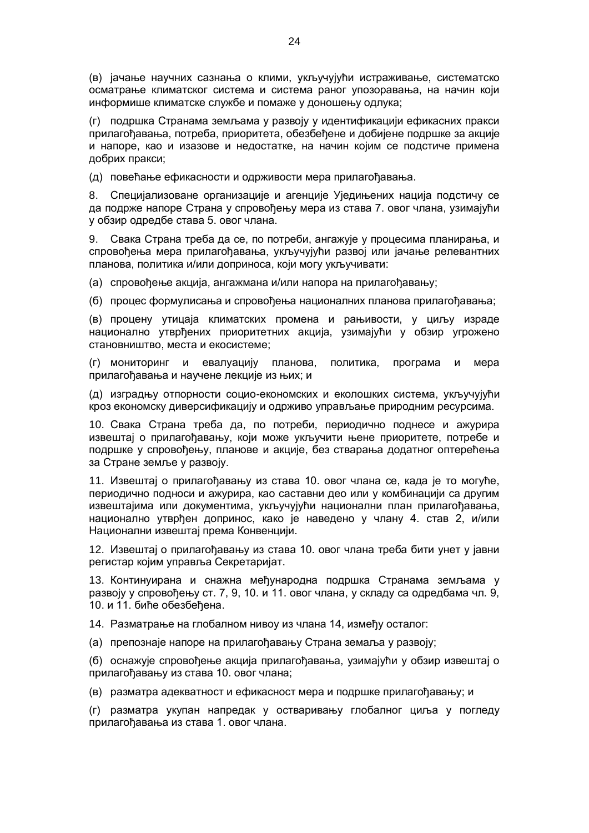(в) јачање научних сазнања о клими, укључујући истраживање, систематско осматрање климатског система и система раног упозоравања, на начин који информише климатске службе и помаже у доношењу одлука;

(г) подршка Странама земљама у развоју у идентификацији ефикасних пракси прилагођавања, потреба, приоритета, обезбеђене и добијене подршке за акције и напоре, као и изазове и недостатке, на начин којим се подстиче примена добрих пракси;

(д) повећање ефикасности и одрживости мера прилагођавања.

8. Специјализоване организације и агенције Уједињених нација подстичу се да подрже напоре Страна у спровођењу мера из става 7. овог члана, узимајући у обзир одредбе става 5. овог члана.

9. Свака Страна треба да се, по потреби, ангажује у процесима планирања, и спровођења мера прилагођавања, укључујући развој или јачање релевантних планова, политика и/или доприноса, који могу укључивати:

(а) спровођење акција, ангажмана и/или напора на прилагођавању;

(б) процес формулисања и спровођења националних планова прилагођавања;

(в) процену утицаја климатских промена и рањивости, у циљу израде национално утврђених приоритетних акција, узимајући у обзир угрожено становништво, места и екосистеме;

(г) мониторинг и евалуацију планова, политика, програма и мера прилагођавања и научене лекције из њих; и

(д) изградњу отпорности социо-економских и еколошких система, укључујући кроз економску диверсификацију и одрживо управљање природним ресурсима.

10. Свака Страна треба да, по потреби, периодично поднесе и ажурира извештај о прилагођавању, који може укључити њене приоритете, потребе и подршке у спровођењу, планове и акције, без стварања додатног оптерећења за Стране земље у развоју.

11. Извештај о прилагођавању из става 10. овог члана се, када је то могуће, периодично подноси и ажурира, као саставни део или у комбинацији са другим извештајима или документима, укључујући национални план прилагођавања, национално утврђен допринос, како је наведено у члану 4. став 2, и/или Национални извештај према Конвенцији.

12. Извештај о прилагођавању из става 10. овог члана треба бити унет у јавни регистар којим управља Секретаријат.

13. Континуирана и снажна међународна подршка Странама земљама у развоју у спровођењу ст. 7, 9, 10. и 11. овог члана, у складу са одредбама чл. 9, 10. и 11. биће обезбеђена.

14. Разматрање на глобалном нивоу из члана 14, између осталог:

(а) препознаје напоре на прилагођавању Страна земаља у развоју;

(б) оснажује спровођење акција прилагођавања, узимајући у обзир извештај о прилагођавању из става 10. овог члана;

(в) разматра адекватност и ефикасност мера и подршке прилагођавању; и

(г) разматра укупан напредак у остваривању глобалног циља у погледу прилагођавања из става 1. овог члана.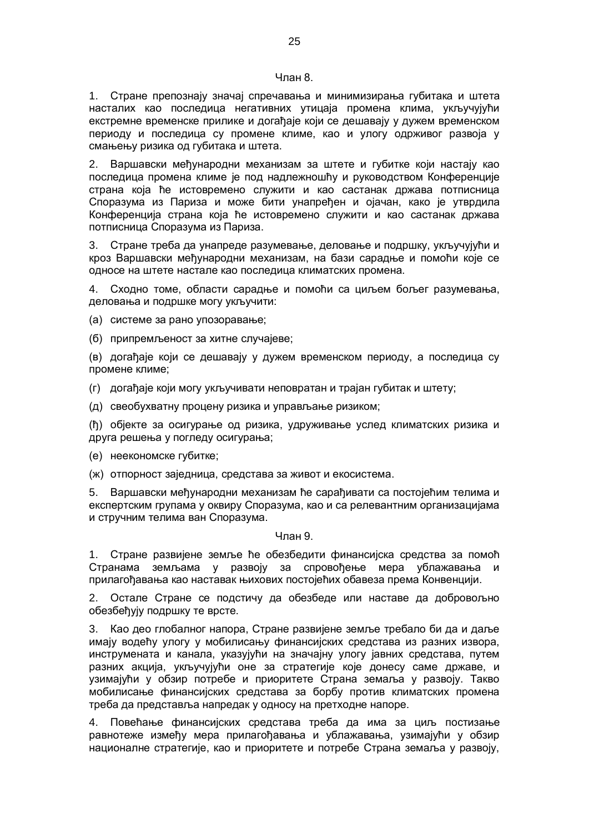#### Члан 8.

1. Стране препознају значај спречавања и минимизирања губитака и штета насталих као последица негативних утицаја промена клима, укључујући екстремне временске прилике и догађаје који се дешавају у дужем временском периоду и последица су промене климе, као и улогу одрживог развоја у смањењу ризика од губитака и штета.

2. Варшавски међународни механизам за штете и губитке који настају као последица промена климе је под надлежношћу и руководством Конференције страна која ће истовремено служити и као састанак држава потписница Споразума из Париза и може бити унапређен и ојачан, како је утврдила Конференција страна која ће истовремено служити и као састанак држава потписница Споразума из Париза.

3. Стране треба да унапреде разумевање, деловање и подршку, укључујући и кроз Варшавски међународни механизам, на бази сарадње и помоћи које се односе на штете настале као последица климатских промена.

4. Сходно томе, области сарадње и помоћи са циљем бољег разумевања, деловања и подршке могу укључити:

(а) системе за рано упозоравање;

(б) припремљеност за хитне случајеве;

(в) догађаје који се дешавају у дужем временском периоду, а последица су промене климе;

(г) догађаје који могу укључивати неповратан и трајан губитак и штету;

(д) свеобухватну процену ризика и управљање ризиком;

(ђ) објекте за осигурање од ризика, удруживање услед климатских ризика и друга решења у погледу осигурања;

(е) неекономске губитке;

(ж) отпорност заједница, средстава за живот и екосистема.

5. Варшавски међународни механизам ће сарађивати са постојећим телима и експертским групама у оквиру Споразума, као и са релевантним организацијама и стручним телима ван Споразума.

#### Члан 9.

1. Стране развијене земље ће обезбедити финансијска средства за помоћ Странама земљама у развоју за спровођење мера ублажавања и прилагођавања као наставак њихових постојећих обавеза према Конвенцији.

2. Остале Стране се подстичу да обезбеде или наставе да добровољно обезбеђују подршку те врсте.

3. Као део глобалног напора, Стране развијене земље требало би да и даље имају водећу улогу у мобилисању финансијских средстава из разних извора, инструмената и канала, указујући на значајну улогу јавних средстава, путем разних акција, укључујући оне за стратегије које донесу саме државе, и узимајући у обзир потребе и приоритете Страна земаља у развоју. Такво мобилисање финансијских средстава за борбу против климатских промена треба да представља напредак у односу на претходне напоре.

4. Повећање финансијских средстава треба да има за циљ постизање равнотеже између мера прилагођавања и ублажавања, узимајући у обзир националне стратегије, као и приоритете и потребе Страна земаља у развоју,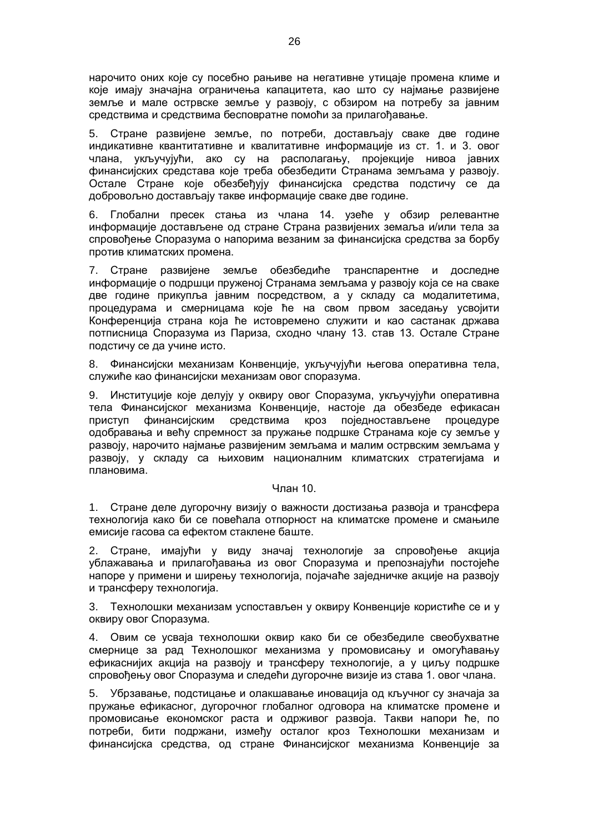нарочито оних које су посебно рањиве на негативне утицаје промена климе и које имају значајна ограничења капацитета, као што су најмање развијене земље и мале острвске земље у развоју, с обзиром на потребу за јавним средствима и средствима бесповратне помоћи за прилагођавање.

5. Стране развијене земље, по потреби, достављају сваке две године индикативне квантитативне и квалитативне информације из ст. 1. и 3. овог члана, укључујући, ако су на располагању, пројекције нивоа јавних финансијских средстава које треба обезбедити Странама земљама у развоју. Остале Стране које обезбеђују финансијска средства подстичу се да добровољно достављају такве информације сваке две године.

6. Глобални пресек стања из члана 14. узеће у обзир релевантне информације достављене од стране Страна развијених земаља и/или тела за спровођење Споразума о напорима везаним за финансијска средства за борбу против климатских промена.

7. Стране развијене земље обезбедиће транспарентне и доследне информације о подршци пруженој Странама земљама у развоју која се на сваке две године прикупља јавним посредством, а у складу са модалитетима, процедурама и смерницама које ће на свом првом заседању усвојити Конференција страна која ће истовремено служити и као састанак држава потписница Споразума из Париза, сходно члану 13. став 13. Остале Стране подстичу се да учине исто.

8. Финансијски механизам Конвенције, укључујући његова оперативна тела, служиће као финансијски механизам овог споразума.

9. Институције које делују у оквиру овог Споразума, укључујући оперативна тела Финансијског механизма Конвенције, настоје да обезбеде ефикасан приступ финансијским средствима кроз поједностављене процедуре одобравања и већу спремност за пружање подршке Странама које су земље у развоју, нарочито најмање развијеним земљама и малим острвским земљама у развоју, у складу са њиховим националним климатских стратегијама и плановима.

## Члан 10.

1. Стране деле дугорочну визију о важности достизања развоја и трансфера технологија како би се повећала отпорност на климатске промене и смањиле емисије гасова са ефектом стаклене баште.

2. Стране, имајући у виду значај технологије за спровођење акција ублажавања и прилагођавања из овог Споразума и препознајући постојеће напоре у примени и ширењу технологија, појачаће заједничке акције на развоју и трансферу технологија.

3. Технолошки механизам успостављен у оквиру Конвенције користиће се и у оквиру овог Споразума.

4. Овим се усваја технолошки оквир како би се обезбедиле свеобухватне смернице за рад Технолошког механизма у промовисању и омогућавању ефикаснијих акција на развоју и трансферу технологије, а у циљу подршке спровођењу овог Споразума и следећи дугорочне визије из става 1. овог члана.

5. Убрзавање, подстицање и олакшавање иновација од кључног су значаја за пружање ефикасног, дугорочног глобалног одговора на климатске промене и промовисање економског раста и одрживог развоја. Такви напори ће, по потреби, бити подржани, између осталог кроз Технолошки механизам и финансијска средства, од стране Финансијског механизма Конвенције за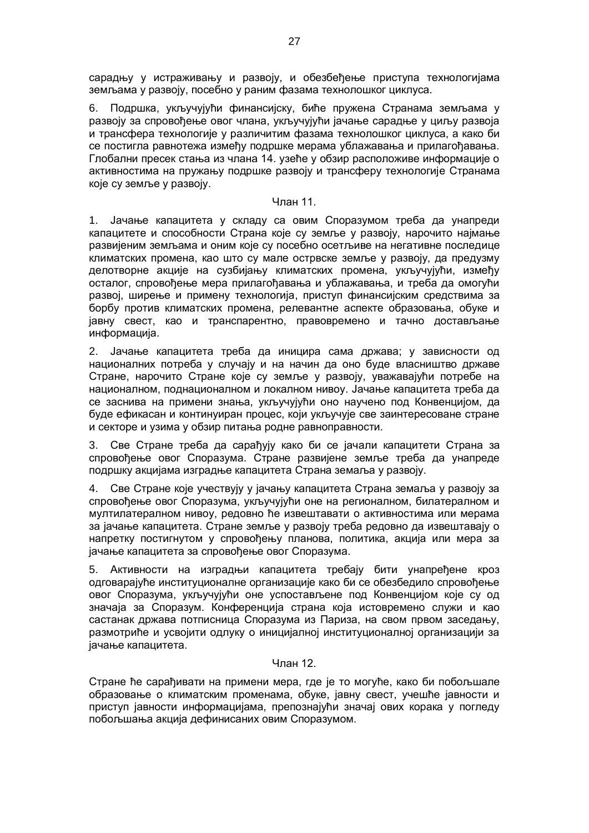сарадњу у истраживању и развоју, и обезбеђење приступа технологијама земљама у развоју, посебно у раним фазама технолошког циклуса.

6. Подршка, укључујући финансијску, биће пружена Странама земљама у развоју за спровођење овог члана, укључујући јачање сарадње у циљу развоја и трансфера технологије у различитим фазама технолошког циклуса, а како би се постигла равнотежа између подршке мерама ублажавања и прилагођавања. Глобални пресек стања из члана 14. узеће у обзир расположиве информације о активностима на пружању подршке развоју и трансферу технологије Странама које су земље у развоју.

#### Члан 11.

1. Јачање капацитета у складу са овим Споразумом треба да унапреди капацитете и способности Страна које су земље у развоју, нарочито најмање развијеним земљама и оним које су посебно осетљиве на негативне последице климатских промена, као што су мале острвске земље у развоју, да предузму делотворне акције на сузбијању климатских промена, укључујући, између осталог, спровођење мера прилагођавања и ублажавања, и треба да омогући развој, ширење и примену технологија, приступ финансијским средствима за борбу против климатских промена, релевантне аспекте образовања, обуке и јавну свест, као и транспарентно, правовремено и тачно достављање информација.

2. Јачање капацитета треба да иницира сама држава; у зависности од националних потреба у случају и на начин да оно буде власништво државе Стране, нарочито Стране које су земље у развоју, уважавајући потребе на националном, поднационалном и локалном нивоу. Јачање капацитета треба да се заснива на примени знања, укључујући оно научено под Конвенцијом, да буде ефикасан и континуиран процес, који укључује све заинтересоване стране и секторе и узима у обзир питања родне равноправности.

3. Све Стране треба да сарађују како би се јачали капацитети Страна за спровођење овог Споразума. Стране развијене земље треба да унапреде подршку акцијама изградње капацитета Страна земаља у развоју.

4. Све Стране које учествују у јачању капацитета Страна земаља у развоју за спровођење овог Споразума, укључујући оне на регионалном, билатералном и мултилатералном нивоу, редовно ће извештавати о активностима или мерама за јачање капацитета. Стране земље у развоју треба редовно да извештавају о напретку постигнутом у спровођењу планова, политика, акција или мера за јачање капацитета за спровођење овог Споразума.

5. Активности на изградњи капацитета требају бити унапређене кроз одговарајуће институционалне организације како би се обезбедило спровођење овог Споразума, укључујући оне успостављене под Конвенцијом које су од значаја за Споразум. Конференција страна која истовремено служи и као састанак држава потписница Споразума из Париза, на свом првом заседању, размотриће и усвојити одлуку о иницијалној институционалној организацији за јачање капацитета.

## Члан 12.

Стране ће сарађивати на примени мера, где је то могуће, како би побољшале образовање о климатским променама, обуке, јавну свест, учешће јавности и приступ јавности информацијама, препознајући значај ових корака у погледу побољшања акција дефинисаних овим Споразумом.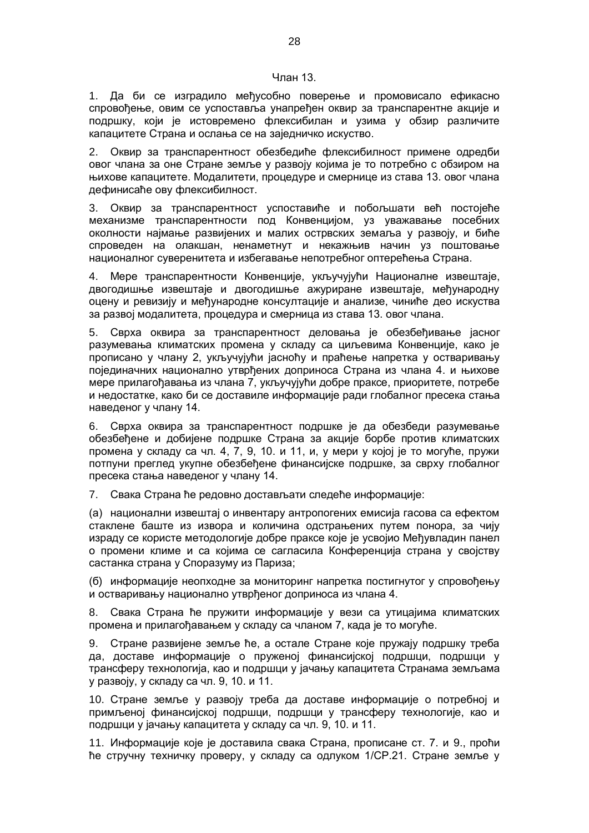#### Члан 13.

1. Да би се изградило међусобно поверење и промовисало ефикасно спровођење, овим се успоставља унапређен оквир за транспарентне акције и подршку, који је истовремено флексибилан и узима у обзир различите капацитете Страна и ослања се на заједничко искуство.

2. Оквир за транспарентност обезбедиће флексибилност примене одредби овог члана за оне Стране земље у развоју којима је то потребно с обзиром на њихове капацитете. Модалитети, процедуре и смернице из става 13. овог члана дефинисаће ову флексибилност.

3. Оквир за транспарентност успоставиће и побољшати већ постојеће механизме транспарентности под Конвенцијом, уз уважавање посебних околности најмање развијених и малих острвских земаља у развоју, и биће спроведен на олакшан, ненаметнут и некажњив начин уз поштовање националног суверенитета и избегавање непотребног оптерећења Страна.

4. Мере транспарентности Конвенције, укључујући Националне извештаје, двогодишње извештаје и двогодишње ажуриране извештаје, међународну оцену и ревизију и међународне консултације и анализе, чиниће део искуства за развој модалитета, процедура и смерница из става 13. овог члана.

5. Сврха оквира за транспарентност деловања је обезбеђивање јасног разумевања климатских промена у складу са циљевима Конвенције, како је прописано у члану 2, укључујући јасноћу и праћење напретка у остваривању појединачних национално утврђених доприноса Страна из члана 4. и њихове мере прилагођавања из члана 7, укључујући добре праксе, приоритете, потребе и недостатке, како би се доставиле информације ради глобалног пресека стања наведеног у члану 14.

6. Сврха оквира за транспарентност подршке је да обезбеди разумевање обезбеђене и добијене подршке Страна за акције борбе против климатских промена у складу са чл. 4, 7, 9, 10. и 11, и, у мери у којој је то могуће, пружи потпуни преглед укупне обезбеђене финансијске подршке, за сврху глобалног пресека стања наведеног у члану 14.

7. Свака Страна ће редовно достављати следеће информације:

(а) национални извештај о инвентару антропогених емисија гасова са ефектом стаклене баште из извора и количина одстрањених путем понора, за чију израду се користе методологије добре праксе које је усвојио Међувладин панел о промени климе и са којима се сагласила Конференција страна у својству састанка страна у Споразуму из Париза;

(б) информације неопходне за мониторинг напретка постигнутог у спровођењу и остваривању национално утврђеног доприноса из члана 4.

8. Свака Страна ће пружити информације у вези са утицајима климатских промена и прилагођавањем у складу са чланом 7, када је то могуће.

9. Стране развијене земље ће, а остале Стране које пружају подршку треба да, доставе информације о пруженој финансијској подршци, подршци у трансферу технологија, као и подршци у јачању капацитета Странама земљама у развоју, у складу са чл. 9, 10. и 11.

10. Стране земље у развоју треба да доставе информације о потребној и примљеној финансијској подршци, подршци у трансферу технологије, као и подршци у јачању капацитета у складу са чл. 9, 10. и 11.

11. Информације које је доставила свака Страна, прописане ст. 7. и 9., проћи ће стручну техничку проверу, у складу са одлуком 1/СР.21. Стране земље у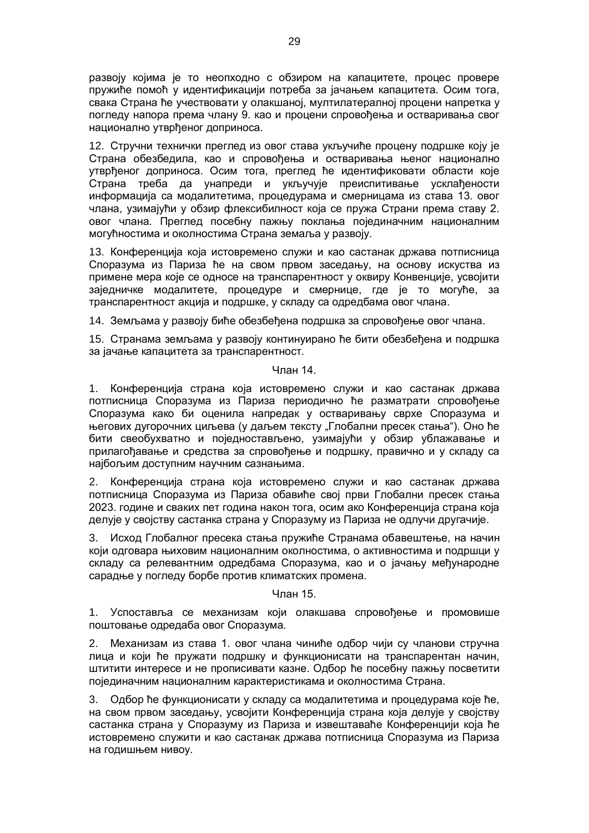развоју којима је то неопходно с обзиром на капацитете, процес провере пружиће помоћ у идентификацији потреба за јачањем капацитета. Осим тога, свака Страна ће учествовати у олакшаној, мултилатералној процени напретка у погледу напора према члану 9. као и процени спровођења и остваривања свог национално утврђеног доприноса.

12. Стручни технички преглед из овог става укључиће процену подршке коју је Страна обезбедила, као и спровођења и остваривања њеног национално утврђеног доприноса. Осим тога, преглед ће идентификовати области које Страна треба да унапреди и укључује преиспитивање усклађености информација са модалитетима, процедурама и смерницама из става 13. овог члана, узимајући у обзир флексибилност која се пружа Страни према ставу 2. овог члана. Преглед посебну пажњу поклања појединачним националним могућностима и околностима Страна земаља у развоју.

13. Конференција која истовремено служи и као састанак држава потписница Споразума из Париза ће на свом првом заседању, на основу искуства из примене мера које се односе на транспарентност у оквиру Конвенције, усвојити заједничке модалитете, процедуре и смернице, где је то могуће, за транспарентност акција и подршке, у складу са одредбама овог члана.

14. Земљама у развоју биће обезбеђена подршка за спровођење овог члана.

15. Странама земљама у развоју континуирано ће бити обезбеђена и подршка за јачање капацитета за транспарентност.

Члан 14.

1. Конференција страна која истовремено служи и као састанак држава потписница Споразума из Париза периодично ће разматрати спровођење Споразума како би оценила напредак у остваривању сврхе Споразума и његових дугорочних циљева (у даљем тексту "Глобални пресек стања"). Оно ће бити свеобухватно и поједностављено, узимајући у обзир ублажавање и прилагођавање и средства за спровођење и подршку, правично и у складу са најбољим доступним научним сазнањима.

2. Конференција страна која истовремено служи и као састанак држава потписница Споразума из Париза обавиће свој први Глобални пресек стања 2023. године и сваких пет година након тога, осим ако Конференција страна која делује у својству састанка страна у Споразуму из Париза не одлучи другачије.

3. Исход Глобалног пресека стања пружиће Странама обавештење, на начин који одговара њиховим националним околностима, о активностима и подршци у складу са релевантним одредбама Споразума, као и о јачању међународне сарадње у погледу борбе против климатских промена.

## Члан 15.

1. Успоставља се механизам који олакшава спровођење и промовише поштовање одредаба овог Споразума.

2. Механизам из става 1. овог члана чиниће одбор чији су чланови стручна лица и који ће пружати подршку и функционисати на транспарентан начин, штитити интересе и не прописивати казне. Одбор ће посебну пажњу посветити појединачним националним карактеристикама и околностима Страна.

3. Одбор ће функционисати у складу са модалитетима и процедурама које ће, на свом првом заседању, усвојити Конференција страна која делује у својству састанка страна у Споразуму из Париза и извештаваће Конференцији која ће истовремено служити и као састанак држава потписница Споразума из Париза на годишњем нивоу.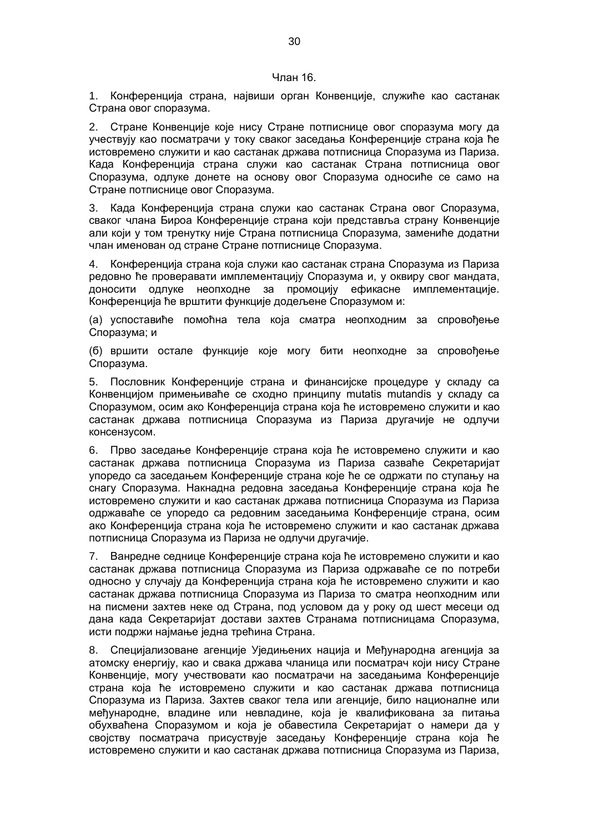#### Члан 16.

1. Конференција страна, највиши орган Конвенције, служиће као састанак Страна овог споразума.

2. Стране Конвенције које нису Стране потписнице овог споразума могу да учествују као посматрачи у току сваког заседања Конференције страна која ће истовремено служити и као састанак држава потписница Споразума из Париза. Када Конференција страна служи као састанак Страна потписница овог Споразума, одлуке донете на основу овог Споразума односиће се само на Стране потписнице овог Споразума.

3. Када Конференција страна служи као састанак Страна овог Споразума, сваког члана Бироа Конференције страна који представља страну Конвенције али који у том тренутку није Страна потписница Споразума, замениће додатни члан именован од стране Стране потписнице Споразума.

4. Конференција страна која служи као састанак страна Споразума из Париза редовно ће проверавати имплементацију Споразума и, у оквиру свог мандата, доносити одлуке неопходне за промоцију ефикасне имплементације. Конференција ће врштити функције додељене Споразумом и:

(а) успоставиће помоћна тела која сматра неопходним за спровођење Споразума; и

(б) вршити остале функције које могу бити неопходне за спровођење Споразума.

5. Пословник Конференције страна и финансијске процедуре у складу са Конвенцијом примењиваће се сходно принципу mutatis mutandis у складу са Споразумом, осим ако Конференција страна која ће истовремено служити и као састанак држава потписница Споразума из Париза другачије не одлучи консензусом.

6. Прво заседање Конференције страна која ће истовремено служити и као састанак држава потписница Споразума из Париза сазваће Секретаријат упоредо са заседањем Конференције страна које ће се одржати по ступању на снагу Споразума. Накнадна редовна заседања Конференције страна која ће истовремено служити и као састанак држава потписница Споразума из Париза одржаваће се упоредо са редовним заседањима Конференције страна, осим ако Конференција страна која ће истовремено служити и као састанак држава потписница Споразума из Париза не одлучи другачије.

7. Ванредне седнице Конференције страна која ће истовремено служити и као састанак држава потписница Споразума из Париза одржаваће се по потреби односно у случају да Конференција страна која ће истовремено служити и као састанак држава потписница Споразума из Париза то сматра неопходним или на писмени захтев неке од Страна, под условом да у року од шест месеци од дана када Секретаријат достави захтев Странама потписницама Споразума, исти подржи најмање једна трећина Страна.

8. Специјализоване агенције Уједињених нација и Међународна агенција за атомску енергију, као и свака држава чланица или посматрач који нису Стране Конвенције, могу учествовати као посматрачи на заседањима Конференције страна која ће истовремено служити и као састанак држава потписница Споразума из Париза. Захтев сваког тела или агенције, било националне или међународне, владине или невладине, која је квалификована за питања обухваћена Споразумом и која је обавестила Секретаријат о намери да у својству посматрача присуствује заседању Конференције страна која ће истовремено служити и као састанак држава потписница Споразума из Париза,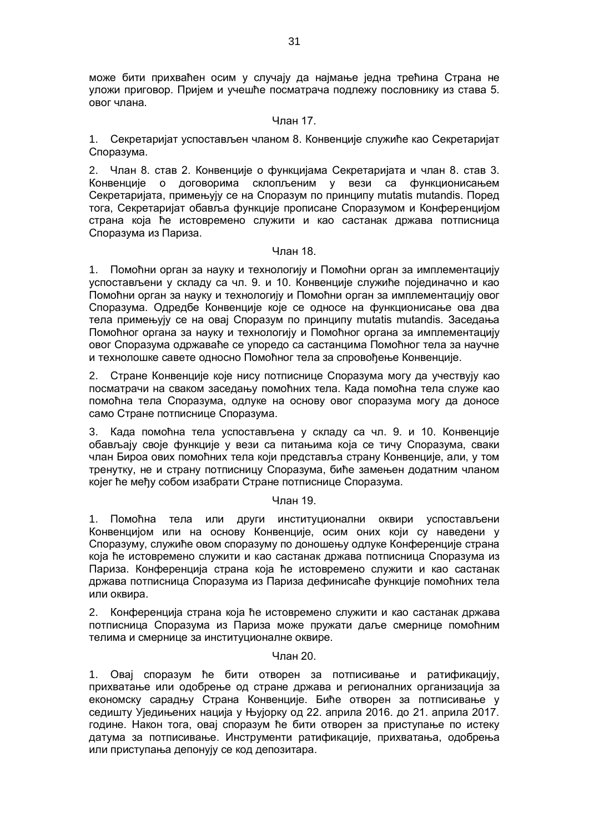може бити прихваћен осим у случају да најмање једна трећина Страна не уложи приговор. Пријем и учешће посматрача подлежу пословнику из става 5. овог члана.

## Члан 17.

1. Секретаријат успостављен чланом 8. Конвенције служиће као Секретаријат Споразума.

2. Члан 8. став 2. Конвенције о функцијама Секретаријата и члан 8. став 3. Конвенције о договорима склопљеним у вези са функционисањем Секретаријата, примењују се на Споразум по принципу mutatis mutandis. Поред тога, Секретаријат обавља функције прописане Споразумом и Конференцијом страна која ће истовремено служити и као састанак држава потписница Споразума из Париза.

#### Члан 18.

1. Помоћни орган за науку и технологију и Помоћни орган за имплементацију успостављени у складу са чл. 9. и 10. Конвенције служиће појединачно и као Помоћни орган за науку и технологију и Помоћни орган за имплементацију овог Споразума. Одредбе Конвенције које се односе на функционисање ова два тела примењују се на овај Споразум по принципу mutatis mutandis. Заседања Помоћног органа за науку и технологију и Помоћног органа за имплементацију овог Споразума одржаваће се упоредо са састанцима Помоћног тела за научне и технолошке савете односно Помоћног тела за спровођење Конвенције.

2. Стране Конвенције које нису потписнице Споразума могу да учествују као посматрачи на сваком заседању помоћних тела. Када помоћна тела служе као помоћна тела Споразума, одлуке на основу овог споразума могу да доносе само Стране потписнице Споразума.

3. Када помоћна тела успостављена у складу са чл. 9. и 10. Конвенције обављају своје функције у вези са питањима која се тичу Споразума, сваки члан Бироа ових помоћних тела који представља страну Конвенције, али, у том тренутку, не и страну потписницу Споразума, биће замењен додатним чланом којег ће међу собом изабрати Стране потписнице Споразума.

#### Члан 19.

1. Помоћна тела или други институционални оквири успостављени Конвенцијом или на основу Конвенције, осим оних који су наведени у Споразуму, служиће овом споразуму по доношењу одлуке Конференције страна која ће истовремено служити и као састанак држава потписница Споразума из Париза. Конференција страна која ће истовремено служити и као састанак држава потписница Споразума из Париза дефинисаће функције помоћних тела или оквира.

2. Конференција страна која ће истовремено служити и као састанак држава потписница Споразума из Париза може пружати даље смернице помоћним телима и смернице за институционалне оквире.

#### Члан 20.

1. Овај споразум ће бити отворен за потписивање и ратификацију, прихватање или одобрење од стране држава и регионалних организација за економску сарадњу Страна Конвенције. Биће отворен за потписивање у седишту Уједињених нација у Њујорку од 22. априла 2016. до 21. априла 2017. године. Након тога, овај споразум ће бити отворен за приступање по истеку датума за потписивање. Инструменти ратификације, прихватања, одобрења или приступања депонују се код депозитара.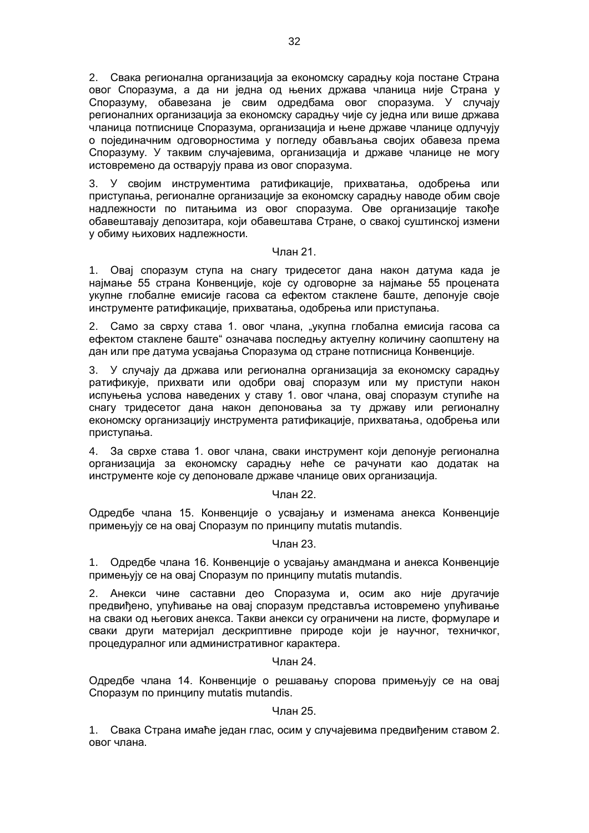2. Свака регионална организација за економску сарадњу која постане Страна овог Споразума, а да ни једна од њених држава чланица није Страна у Споразуму, обавезана је свим одредбама овог споразума. У случају регионалних организација за економску сарадњу чије су једна или више држава чланица потписнице Споразума, организација и њене државе чланице одлучују о појединачним одговорностима у погледу обављања својих обавеза према Споразуму. У таквим случајевима, организација и државе чланице не могу истовремено да остварују права из овог споразума.

3. У својим инструментима ратификације, прихватања, одобрења или приступања, регионалне организације за економску сарадњу наводе обим своје надлежности по питањима из овог споразума. Ове организације такође обавештавају депозитара, који обавештава Стране, о свакој суштинској измени у обиму њихових надлежности.

#### Члан 21.

1. Овај споразум ступа на снагу тридесетог дана након датума када је најмање 55 страна Конвенције, које су одговорне за најмање 55 процената укупне глобалне емисије гасова са ефектом стаклене баште, депонује своје инструменте ратификације, прихватања, одобрења или приступања.

2. Само за сврху става 1. овог члана, "укупна глобална емисија гасова са ефектом стаклене баште" означава последњу актуелну количину саопштену на дан или пре датума усвајања Споразума од стране потписница Конвенције.

3. У случају да држава или регионална организација за економску сарадњу ратификује, прихвати или одобри овај споразум или му приступи након испуњења услова наведених у ставу 1. овог члана, овај споразум ступиће на снагу тридесетог дана након депоновања за ту државу или регионалну економску организацију инструмента ратификације, прихватања, одобрења или приступања.

4. За сврхе става 1. овог члана, сваки инструмент који депонује регионална организација за економску сарадњу неће се рачунати као додатак на инструменте које су депоновале државе чланице ових организација.

Члан 22.

Одредбе члана 15. Конвенције о усвајању и изменама анекса Конвенције примењују се на овај Споразум по принципу mutatis mutandis.

Члан 23.

1. Одредбе члана 16. Конвенције о усвајању амандмана и анекса Конвенције примењују се на овај Споразум по принципу mutatis mutandis.

2. Анекси чине саставни део Споразума и, осим ако није другачије предвиђено, упућивање на овај споразум представља истовремено упућивање на сваки од његових анекса. Такви анекси су ограничени на листе, формуларе и сваки други материјал дескриптивне природе који је научног, техничког, процедуралног или административног карактера.

Члан 24.

Одредбе члана 14. Конвенције о решавању спорова примењују се на овај Споразум по принципу mutatis mutandis.

Члан 25.

1. Свака Страна имаће један глас, осим у случајевима предвиђеним ставом 2. овог члана.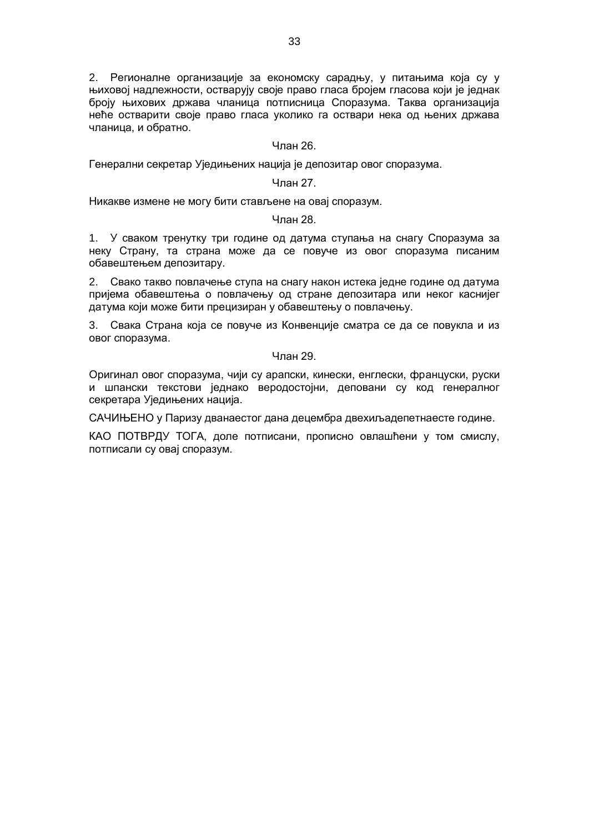2. Регионалне организације за економску сарадњу, у питањима која су у њиховој надлежности, остварују своје право гласа бројем гласова који је једнак броју њихових држава чланица потписница Споразума. Таква организација неће остварити своје право гласа уколико га оствари нека од њених држава чланица, и обратно.

## Члан 26.

Генерални секретар Уједињених нација је депозитар овог споразума.

## Члан 27.

Никакве измене не могу бити стављене на овај споразум.

## Члан 28.

1. У сваком тренутку три године од датума ступања на снагу Споразума за неку Страну, та страна може да се повуче из овог споразума писаним обавештењем депозитару.

2. Свако такво повлачење ступа на снагу након истека једне године од датума пријема обавештења о повлачењу од стране депозитара или неког каснијег датума који може бити прецизиран у обавештењу о повлачењу.

3. Свака Страна која се повуче из Конвенције сматра се да се повукла и из овог споразума.

## Члан 29.

Оригинал овог споразума, чији су арапски, кинески, енглески, француски, руски и шпански текстови једнако веродостојни, деповани су код генералног секретара Уједињених нација.

САЧИЊЕНО у Паризу дванаестог дана децембра двехиљадепетнаесте године.

КАО ПОТВРДУ ТОГА, доле потписани, прописно овлашћени у том смислу, потписали су овај споразум.